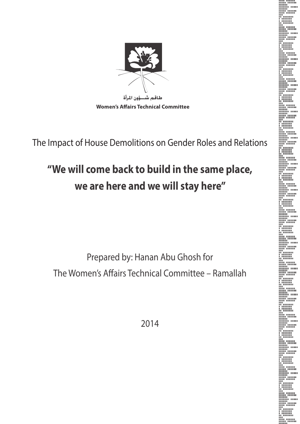

**Women's Affairs Technical Committee** 

The Impact of House Demolitions on Gender Roles and Relations

# **"We will come back to build in the same place, we are here and we will stay here"**

Prepared by: Hanan Abu Ghosh for The Women's Affairs Technical Committee – Ramallah

2014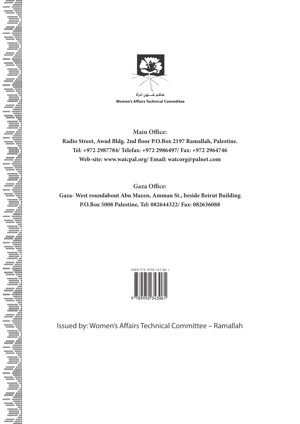

**Women's Affairs Technical Committee** 

**Main Office:**

**Radio Street, Awad Bldg. 2nd floor P.O.Box 2197 Ramallah, Palestine. Tel: +972 2987784/ Telefax: +972 2986497/ Fax: +972 2964746 Web-site: www.watcpal.org/ Email: watcorg@palnet.com**

**Gaza Office:**

**Gaza- West roundabout Abu Mazen, Amman St., beside Beirut Building P.O.Box 5008 Palestine, Tel: 082644322/ Fax: 082636088**



Issued by: Women's Affairs Technical Committee – Ramallah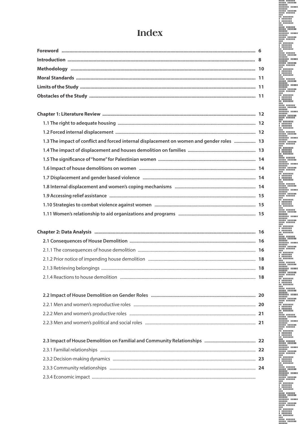# Index

| 1.3 The impact of conflict and forced internal displacement on women and gender roles  13 |  |
|-------------------------------------------------------------------------------------------|--|
|                                                                                           |  |
|                                                                                           |  |
|                                                                                           |  |
|                                                                                           |  |
|                                                                                           |  |
|                                                                                           |  |
|                                                                                           |  |
|                                                                                           |  |

| 2.1.4 Reactions to house demolition <i>manual manual manual manual manual manual manual manual manual</i> |  |
|-----------------------------------------------------------------------------------------------------------|--|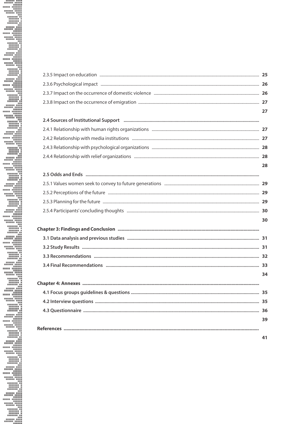| 2.4 Sources of Institutional Support manufacture and continuum control of the control of the state of Institutional Support manufacture and continuum control of the state of the state of the state of the state of the state |  |
|--------------------------------------------------------------------------------------------------------------------------------------------------------------------------------------------------------------------------------|--|
|                                                                                                                                                                                                                                |  |
|                                                                                                                                                                                                                                |  |
|                                                                                                                                                                                                                                |  |
|                                                                                                                                                                                                                                |  |
|                                                                                                                                                                                                                                |  |
|                                                                                                                                                                                                                                |  |
|                                                                                                                                                                                                                                |  |
|                                                                                                                                                                                                                                |  |
|                                                                                                                                                                                                                                |  |
|                                                                                                                                                                                                                                |  |
|                                                                                                                                                                                                                                |  |
|                                                                                                                                                                                                                                |  |
|                                                                                                                                                                                                                                |  |
|                                                                                                                                                                                                                                |  |
|                                                                                                                                                                                                                                |  |
|                                                                                                                                                                                                                                |  |
|                                                                                                                                                                                                                                |  |
|                                                                                                                                                                                                                                |  |
|                                                                                                                                                                                                                                |  |
|                                                                                                                                                                                                                                |  |
|                                                                                                                                                                                                                                |  |
|                                                                                                                                                                                                                                |  |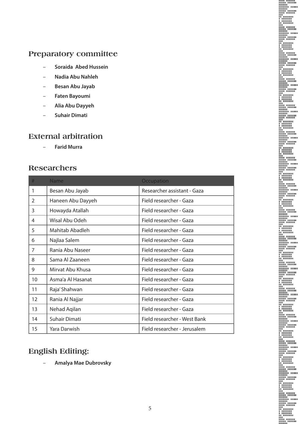## **Preparatory committee**

- **Soraida Abed Hussein**
- **Nadia Abu Nahleh**
- **Besan Abu Jayab**
- **Faten Bayoumi**
- **Alia Abu Dayyeh**
- **Suhair Dimati**

### **External arbitration**

– **Farid Murra** 

## **Researchers**

| #             | <b>Name</b>       | Occupation                   |
|---------------|-------------------|------------------------------|
| 1             | Besan Abu Jayab   | Researcher assistant - Gaza  |
| $\mathcal{L}$ | Haneen Abu Dayyeh | Field researcher - Gaza      |
| 3             | Howayda Atallah   | Field researcher - Gaza      |
| 4             | Wisal Abu Odeh    | Field researcher - Gaza      |
| 5             | Mahitab Abadleh   | Field researcher - Gaza      |
| 6             | Najlaa Salem      | Field researcher - Gaza      |
| 7             | Rania Abu Naseer  | Field researcher - Gaza      |
| 8             | Sama Al Zaaneen   | Field researcher - Gaza      |
| 9             | Mirvat Abu Khusa  | Field researcher - Gaza      |
| 10            | Asma'a Al Hasanat | Field researcher - Gaza      |
| 11            | Raja' Shahwan     | Field researcher - Gaza      |
| 12            | Rania Al Najjar   | Field researcher - Gaza      |
| 13            | Nehad Aqilan      | Field researcher - Gaza      |
| 14            | Suhair Dimati     | Field researcher - West Bank |
| 15            | Yara Darwish      | Field researcher - Jerusalem |

## **English Editing:**

– **Amalya Mae Dubrovsky**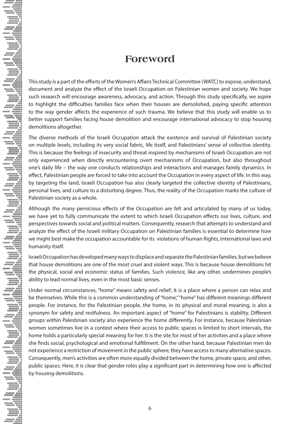## **Foreword**

This study is a part of the efforts of the Women's Affairs Technical Committee (WATC) to expose, understand, document and analyze the effect of the Israeli Occupation on Palestinian women and society. We hope such research will encourage awareness, advocacy, and action. Through this study specifically, we aspire to highlight the difficulties families face when their houses are demolished, paying specific attention to the way gender affects the experience of such trauma. We believe that this study will enable us to better support families facing house demolition and encourage international advocacy to stop housing demolitions altogether.

The diverse methods of the Israeli Occupation attack the existence and survival of Palestinian society on multiple levels, including its very social fabric, life itself, and Palestinians' sense of collective identity. This is because the feelings of insecurity and threat inspired by mechanisms of Israeli Occupation are not only experienced when directly encountering overt mechanisms of Occupation, but also throughout one's daily life – the way one conducts relationships and interactions and manages family dynamics. In effect, Palestinian people are forced to take into account the Occupation in every aspect of life. In this way, by targeting the land, Israeli Occupation has also clearly targeted the collective identity of Palestinians, personal lives, and culture to a disturbing degree. Thus, the reality of the Occupation marks the culture of Palestinian society as a whole.

Although the many pernicious effects of the Occupation are felt and articulated by many of us today, we have yet to fully communicate the extent to which Israeli Occupation effects our lives, culture, and perspectives towards social and political matters. Consequently, research that attempts to understand and analyze the effect of the Israeli military Occupation on Palestinian families is essential to determine how we might best make the occupation accountable for its violations of human Rights, International laws and humanity itself.

E

Israeli Occupation has developed many ways to displace and separate the Palestinian families, but we believe that house demolitions are one of the most cruel and violent ways. This is because house demolitions hit the physical, social and economic status of families. Such violence, like any other, undermines people's ability to lead normal lives, even in the most basic senses.

Under normal circumstances, "home" means safety and relief; it is a place where a person can relax and be themselves. While this is a common understanding of "home," "home" has different meanings different people. For instance, for the Palestinian people, the home, in its physical and moral meaning, is also a synonym for safety and restfulness. An important aspect of "home" for Palestinians is stability. Different groups within Palestinian society also experience the home differently. For instance, because Palestinian women sometimes live in a context where their access to public spaces is limited to short intervals, the home holds a particularly special meaning for her. It is the site for most of her activities and a place where she finds social, psychological and emotional fulfillment. On the other hand, because Palestinian men do not experience a restriction of movement in the public sphere, they have access to many alternative spaces. Consequently, men's activities are often more equally divided between the home, private space, and other, public spaces. Here, it is clear that gender roles play a significant part in determining how one is affected by housing demolitions.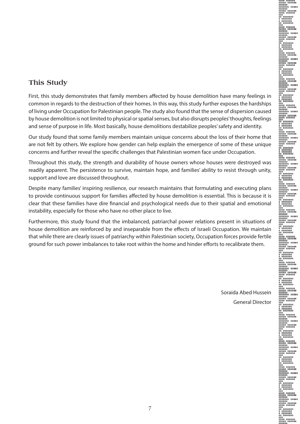

### **This Study**

First, this study demonstrates that family members affected by house demolition have many feelings in common in regards to the destruction of their homes. In this way, this study further exposes the hardships of living under Occupation for Palestinian people. The study also found that the sense of dispersion caused by house demolition is not limited to physical or spatial senses, but also disrupts peoples' thoughts, feelings and sense of purpose in life. Most basically, house demolitions destabilize peoples' safety and identity.

Our study found that some family members maintain unique concerns about the loss of their home that are not felt by others. We explore how gender can help explain the emergence of some of these unique concerns and further reveal the specific challenges that Palestinian women face under Occupation.

Throughout this study, the strength and durability of house owners whose houses were destroyed was readily apparent. The persistence to survive, maintain hope, and families' ability to resist through unity, support and love are discussed throughout.

Despite many families' inspiring resilience, our research maintains that formulating and executing plans to provide continuous support for families affected by house demolition is essential. This is because it is clear that these families have dire financial and psychological needs due to their spatial and emotional instability, especially for those who have no other place to live.

Furthermore, this study found that the imbalanced, patriarchal power relations present in situations of house demolition are reinforced by and inseparable from the effects of Israeli Occupation. We maintain that while there are clearly issues of patriarchy within Palestinian society, Occupation forces provide fertile ground for such power imbalances to take root within the home and hinder efforts to recalibrate them.

> Soraida Abed Hussein General Director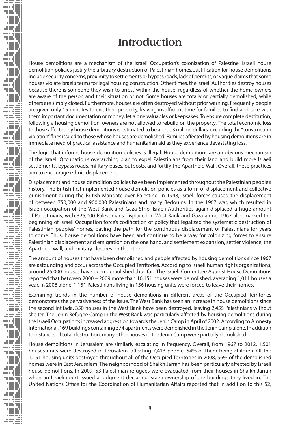## **Introduction**

House demolitions are a mechanism of the Israeli Occupation's colonization of Palestine. Israeli house demolition policies justify the arbitrary destruction of Palestinian homes. Justification for house demolitions include security concerns, proximity to settlements or bypass roads, lack of permits, or vague claims that some houses violate Israel's terms for legal housing construction. Other times, the Israeli Authorities destroy houses because there is someone they wish to arrest within the house, regardless of whether the home owners are aware of the person and their situation or not. Some houses are totally or partially demolished, while others are simply closed. Furthermore, houses are often destroyed without prior warning. Frequently people are given only 15 minutes to exit their property, leaving insufficient time for families to find and take with them important documentation or money, let alone valuables or keepsakes. To ensure complete destitution, following a housing demolition, owners are not allowed to rebuild on the property. The total economic loss to those affected by house demolitions is estimated to be about 3 million dollars, excluding the "construction violation" fines issued to those whose houses are demolished. Families affected by housing demolitions are in immediate need of practical assistance and humanitarian aid as they experience devastating loss.

The logic that informs house demolition policies is illegal. House demolitions are an obvious mechanism of the Israeli Occupation's overarching plan to expel Palestinians from their land and build more Israeli settlements, bypass roads, military bases, outposts, and fortify the Apartheid Wall. Overall, these practices aim to encourage ethnic displacement.

Displacement and house demolition policies have been implemented throughout the Palestinian people's history. The British first implemented house demolition policies as a form of displacement and collective punishment during the British Mandate over Palestine. In 1948, Israeli forces caused the displacement of between 750,000 and 900,000 Palestinians and many Bedouins. In the 1967 war, which resulted in Israeli occupation of the West Bank and Gaza Strip, Israeli Authorities again displaced a huge amount of Palestinians, with 325,000 Palestinians displaced in West Bank and Gaza alone. 1967 also marked the beginning of Israeli Occupation force's codification of policy that legalized the systematic destruction of Palestinian peoples' homes, paving the path for the continuous displacement of Palestinians for years to come. Thus, house demolitions have been and continue to be a way for colonizing forces to ensure Palestinian displacement and emigration on the one hand, and settlement expansion, settler violence, the Apartheid wall, and military closures on the other.

The amount of houses that have been demolished and people affected by housing demolitions since 1967 are astounding and occur across the Occupied Territories. According to Israeli human rights organizations, around 25,000 houses have been demolished thus far. The Israeli Committee Against House Demolitions reported that between 2000 – 2009 more than 10,151 houses were demolished, averaging 1,011 houses a year. In 2008 alone, 1,151 Palestinians living in 156 housing units were forced to leave their homes.

Examining trends in the number of house demolitions in different areas of the Occupied Territories demonstrates the pervasiveness of the issue. The West Bank has seen an increase in house demolitions since the second Intifada. 350 houses in the West Bank have been destroyed, leaving 2,455 Palestinians without shelter. The Jenin Refugee Camp in the West Bank was particularly affected by housing demolitions during the Israeli Occupation's increased aggression towards the Jenin Camp in April of 2002. According to Amnesty International, 169 buildings containing 374 apartments were demolished in the Jenin Camp alone. In addition to instances of total destruction, many other houses in the Jenin Camp were partially demolished.

House demolitions in Jerusalem are similarly escalating in frequency. Overall, from 1967 to 2012, 1,501 houses units were destroyed in Jerusalem, affecting 7,413 people, 54% of them being children. Of the 1,151 housing units destroyed throughout all of the Occupied Territories in 2008, 56% of the demolished homes were in East Jerusalem. The neighborhood of Shaikh Jarrah has been particularly affected by Israeli house demolitions. In 2009, 53 Palestinian refugees were evacuated from their houses in Shaikh Jarrah when an Israeli court issued a judgment declaring Israeli ownership of the buildings they lived in. The United Nations Office for the Coordination of Humanitarian Affairs reported that in addition to this 52,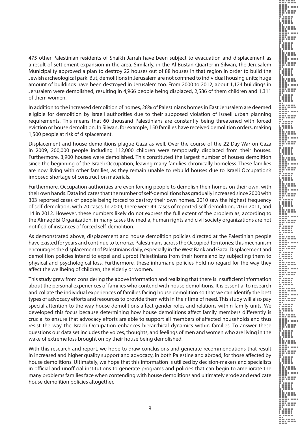475 other Palestinian residents of Shaikh Jarrah have been subject to evacuation and displacement as a result of settlement expansion in the area. Similarly, in the Al Bustan Quarter in Silwan, the Jerusalem Municipality approved a plan to destroy 22 houses out of 88 houses in that region in order to build the Jewish archeological park. But, demolitions in Jerusalem are not confined to individual housing units; huge amount of buildings have been destroyed in Jerusalem too. From 2000 to 2012, about 1,124 buildings in Jerusalem were demolished, resulting in 4,966 people being displaced, 2,586 of them children and 1,311 of them women.

In addition to the increased demolition of homes, 28% of Palestinians homes in East Jerusalem are deemed eligible for demolition by Israeli authorities due to their supposed violation of Israeli urban planning requirements. This means that 60 thousand Palestinians are constantly being threatened with forced eviction or house demolition. In Silwan, for example, 150 families have received demolition orders, making 1,500 people at risk of displacement.

Displacement and house demolitions plague Gaza as well. Over the course of the 22 Day War on Gaza in 2009, 200,000 people including 112,000 children were temporarily displaced from their houses. Furthermore, 3,900 houses were demolished. This constituted the largest number of houses demolition since the beginning of the Israeli Occupation, leaving many families chronically homeless. These families are now living with other families, as they remain unable to rebuild houses due to Israeli Occupation's imposed shortage of construction materials.

Furthermore, Occupation authorities are even forcing people to demolish their homes on their own, with their own hands. Data indicates that the number of self-demolitions has gradually increased since 2000 with 303 reported cases of people being forced to destroy their own homes. 2010 saw the highest frequency of self-demolition, with 70 cases. In 2009, there were 49 cases of reported self-demolition, 20 in 2011, and 14 in 2012. However, these numbers likely do not express the full extent of the problem as, according to the Almaqdisi Organization, in many cases the media, human rights and civil society organizations are not notified of instances of forced self-demolition.

As demonstrated above, displacement and house demolition policies directed at the Palestinian people have existed for years and continue to terrorize Palestinians across the Occupied Territories; this mechanism encourages the displacement of Palestinians daily, especially in the West Bank and Gaza. Displacement and demolition policies intend to expel and uproot Palestinians from their homeland by subjecting them to physical and psychological loss. Furthermore, these inhumane policies hold no regard for the way they affect the wellbeing of children, the elderly or women.

This study grew from considering the above information and realizing that there is insufficient information about the personal experiences of families who contend with house demolitions. It is essential to research and collate the individual experiences of families facing house demolition so that we can identify the best types of advocacy efforts and resources to provide them with in their time of need. This study will also pay special attention to the way house demolitions affect gender roles and relations within family units. We developed this focus because determining how house demolitions affect family members differently is crucial to ensure that advocacy efforts are able to support all members of affected households and thus resist the way the Israeli Occupation enhances hierarchical dynamics within families. To answer these questions our data set includes the voices, thoughts, and feelings of men and women who are living in the wake of extreme loss brought on by their house being demolished.

With this research and report, we hope to draw conclusions and generate recommendations that result in increased and higher quality support and advocacy, in both Palestine and abroad, for those affected by house demolitions. Ultimately, we hope that this information is utilized by decision-makers and specialists in official and unofficial institutions to generate programs and policies that can begin to ameliorate the many problems families face when contending with house demolitions and ultimately erode and eradicate house demolition policies altogether.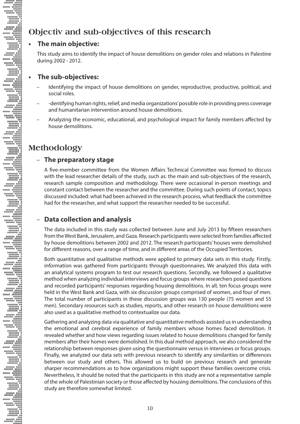## **Objectiv and sub-objectives of this research**

### **The main objective:**

This study aims to identify the impact of house demolitions on gender roles and relations in Palestine during 2002 - 2012.

### **The sub-objectives:**

- Identifying the impact of house demolitions on gender, reproductive, productive, political, and social roles.
- -dentifying human rights, relief, and media organizations' possible role in providing press coverage and humanitarian intervention around house demolitions.
- Analyzing the economic, educational, and psychological impact for family members affected by house demolitions.

## **Methodology**

### – **The preparatory stage**

A five-member committee from the Women Affairs Technical Committee was formed to discuss with the lead researcher details of the study, such as: the main and sub-objectives of the research, research sample composition and methodology. There were occasional in-person meetings and constant contact between the researcher and the committee. During such points of contact, topics discussed included: what had been achieved in the research process, what feedback the committee had for the researcher, and what support the researcher needed to be successful.

### – **Data collection and analysis**

The data included in this study was collected between June and July 2013 by fifteen researchers from the West Bank, Jerusalem, and Gaza. Research participants were selected from families affected by house demolitions between 2002 and 2012. The research participants' houses were demolished for different reasons, over a range of time, and in different areas of the Occupied Territories.

Both quantitative and qualitative methods were applied to primary data sets in this study. Firstly, information was gathered from participants through questionnaires. We analyzed this data with an analytical systems program to test our research questions. Secondly, we followed a qualitative method when analyzing individual interviews and focus groups where researchers posed questions and recorded participants' responses regarding housing demolitions. In all, ten focus groups were held in the West Bank and Gaza, with six discussion groups comprised of women, and four of men. The total number of participants in these discussion groups was 130 people (75 women and 55 men). Secondary resources such as studies, reports, and other research on house demolitions were also used as a qualitative method to contextualize our data.

Gathering and analyzing data via qualitative and quantitative methods assisted us in understanding the emotional and cerebral experience of family members whose homes faced demolition. It revealed whether and how views regarding issues related to house demolitions changed for family members after their homes were demolished. In this dual method approach, we also considered the relationship between responses given using the questionnaire versus in interviews or focus groups. Finally, we analyzed our data sets with previous research to identify any similarities or differences between our study and others. This allowed us to build on previous research and generate sharper recommendations as to how organizations might support these families overcome crisis. Nevertheless, it should be noted that the participants in this study are not a representative sample of the whole of Palestinian society or those affected by housing demolitions. The conclusions of this study are therefore somewhat limited.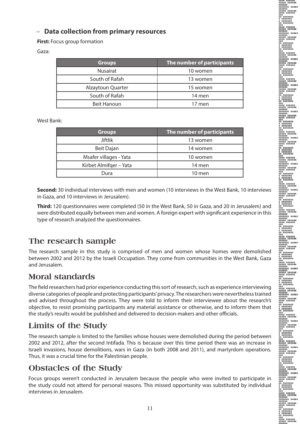### – **Data collection from primary resources**

**First:** Focus group formation

#### Gaza:

| <b>Groups</b>      | The number of participants |  |  |  |
|--------------------|----------------------------|--|--|--|
| <b>Nusairat</b>    | 10 women                   |  |  |  |
| South of Rafah     | 13 women                   |  |  |  |
| Alzaytoun Quarter  | 15 women                   |  |  |  |
| South of Rafah     | 14 men                     |  |  |  |
| <b>Beit Hanoun</b> | 17 men                     |  |  |  |

#### West Bank:

| <b>Groups</b>          | The number of participants |  |  |  |  |
|------------------------|----------------------------|--|--|--|--|
| <b>Jiftlik</b>         | 13 women                   |  |  |  |  |
| Beit Dajan             | 14 women                   |  |  |  |  |
| Msafer villages - Yata | 10 women                   |  |  |  |  |
| Kirbet Almifger - Yata | 14 men                     |  |  |  |  |
| Dura                   | $10$ men                   |  |  |  |  |

**Second:** 30 individual interviews with men and women (10 interviews in the West Bank, 10 interviews in Gaza, and 10 interviews in Jerusalem).

**Third:** 120 questionnaires were completed (50 in the West Bank, 50 in Gaza, and 20 in Jerusalem) and were distributed equally between men and women. A foreign expert with significant experience in this type of research analyzed the questionnaires.

## **The research sample**

The research sample in this study is comprised of men and women whose homes were demolished between 2002 and 2012 by the Israeli Occupation. They come from communities in the West Bank, Gaza and Jerusalem.

## **Moral standards**

The field researchers had prior experience conducting this sort of research, such as experience interviewing diverse categories of people and protecting participants' privacy. The researchers were nevertheless trained and advised throughout the process. They were told to inform their interviewee about the research's objective, to resist promising participants any material assistance or otherwise, and to inform them that the study's results would be published and delivered to decision-makers and other officials.

## **Limits of the Study**

The research sample is limited to the families whose houses were demolished during the period between 2002 and 2012, after the second Intifada. This is because over this time period there was an increase in Israeli invasions, house demolitions, wars in Gaza (in both 2008 and 2011), and martyrdom operations. Thus, it was a crucial time for the Palestinian people.

## **Obstacles of the Study**

Focus groups weren't conducted in Jerusalem because the people who were invited to participate in the study could not attend for personal reasons. This missed opportunity was substituted by individual interviews in Jerusalem.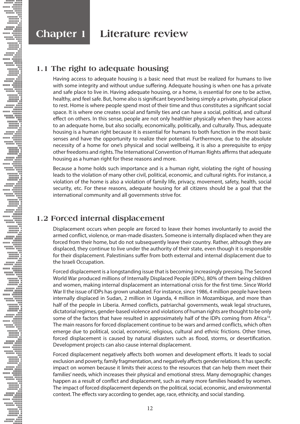## **Chapter 1 Literature review**

## **1.1 The right to adequate housing**

Having access to adequate housing is a basic need that must be realized for humans to live with some integrity and without undue suffering. Adequate housing is when one has a private and safe place to live in. Having adequate housing, or a home, is essential for one to be active, healthy, and feel safe. But, home also is significant beyond being simply a private, physical place to rest. Home is where people spend most of their time and thus constitutes a significant social space. It is where one creates social and family ties and can have a social, political, and cultural effect on others. In this sense, people are not only healthier physically when they have access to an adequate home, but also socially, economically, politically, and culturally. Thus, adequate housing is a human right because it is essential for humans to both function in the most basic senses and have the opportunity to realize their potential. Furthermore, due to the absolute necessity of a home for one's physical and social wellbeing, it is also a prerequisite to enjoy other freedoms and rights. The International Convention of Human Rights affirms that adequate housing as a human right for these reasons and more.

Because a home holds such importance and is a human right, violating the right of housing leads to the violation of many other civil, political, economic, and cultural rights. For instance, a violation of the home is also a violation of family life, privacy, movement, safety, health, social security, etc. For these reasons, adequate housing for all citizens should be a goal that the international community and all governments strive for.

## **1.2 Forced internal displacement**

Displacement occurs when people are forced to leave their homes involuntarily to avoid the armed conflict, violence, or man-made disasters. Someone is internally displaced when they are forced from their home, but do not subsequently leave their country. Rather, although they are displaced, they continue to live under the authority of their state, even though it is responsible for their displacement. Palestinians suffer from both external and internal displacement due to the Israeli Occupation.

Forced displacement is a longstanding issue that is becoming increasingly pressing. The Second World War produced millions of Internally Displaced People (IDPs), 80% of them being children and women, making internal displacement an international crisis for the first time. Since World War II the issue of IDPs has grown unabated. For instance, since 1986, 4 million people have been internally displaced in Sudan, 2 million in Uganda, 4 million in Mozambique, and more than half of the people in Liberia. Armed conflicts, patriarchal governments, weak legal structures, dictatorial regimes, gender-based violence and violations of human rights are thought to be only some of the factors that have resulted in approximately half of the IDPs coming from Africa<sup>18</sup>. The main reasons for forced displacement continue to be wars and armed conflicts, which often emerge due to political, social, economic, religious, cultural and ethnic frictions. Other times, forced displacement is caused by natural disasters such as flood, storms, or desertification. Development projects can also cause internal displacement.

Forced displacement negatively affects both women and development efforts. It leads to social exclusion and poverty, family fragmentation, and negatively affects gender relations. It has specific impact on women because it limits their access to the resources that can help them meet their families' needs, which increases their physical and emotional stress. Many demographic changes happen as a result of conflict and displacement, such as many more families headed by women. The impact of forced displacement depends on the political, social, economic, and environmental context. The effects vary according to gender, age, race, ethnicity, and social standing.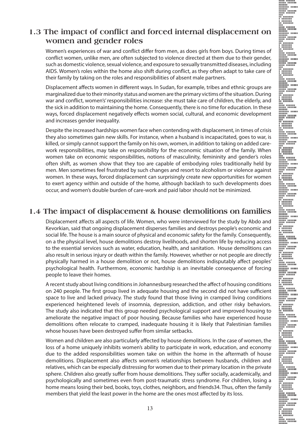### **1.3 The impact of conflict and forced internal displacement on women and gender roles**

Women's experiences of war and conflict differ from men, as does girls from boys. During times of conflict women, unlike men, are often subjected to violence directed at them due to their gender, such as domestic violence, sexual violence, and exposure to sexually transmitted diseases, including AIDS. Women's roles within the home also shift during conflict, as they often adapt to take care of their family by taking on the roles and responsibilities of absent male partners.

Displacement affects women in different ways. In Sudan, for example, tribes and ethnic groups are marginalized due to their minority status and women are the primary victims of the situation. During war and conflict, women's' responsibilities increase: she must take care of children, the elderly, and the sick in addition to maintaining the home. Consequently, there is no time for education. In these ways, forced displacement negatively effects women social, cultural, and economic development and increases gender inequality.

Despite the increased hardships women face when contending with displacement, in times of crisis they also sometimes gain new skills. For instance, when a husband is incapacitated, goes to war, is killed, or simply cannot support the family on his own, women, in addition to taking on added carework responsibilities, may take on responsibility for the economic situation of the family. When women take on economic responsibilities, notions of masculinity, femininity and gender's roles often shift, as women show that they too are capable of embodying roles traditionally held by men. Men sometimes feel frustrated by such changes and resort to alcoholism or violence against women. In these ways, forced displacement can surprisingly create new opportunities for women to exert agency within and outside of the home, although backlash to such developments does occur, and women's double burden of care-work and paid labor should not be minimized.

### **1.4 The impact of displacement & house demolitions on families**

Displacement affects all aspects of life. Women, who were interviewed for the study by Abdo and Kevorkian, said that ongoing displacement disperses families and destroys people's economic and social life. The house is a main source of physical and economic safety for the family. Consequently, on a the physical level, house demolitions destroy livelihoods, and shorten life by reducing access to the essential services such as water, education, health, and sanitation. House demolitions can also result in serious injury or death within the family. However, whether or not people are directly physically harmed in a house demolition or not, house demolitions indisputably affect peoples' psychological health. Furthermore, economic hardship is an inevitable consequence of forcing people to leave their homes.

A recent study about living conditions in Johannesburg researched the affect of housing conditions on 240 people. The first group lived in adequate housing and the second did not have sufficient space to live and lacked privacy. The study found that those living in cramped living conditions experienced heightened levels of insomnia, depression, addiction, and other risky behaviors. The study also indicated that this group needed psychological support and improved housing to ameliorate the negative impact of poor housing. Because families who have experienced house demolitions often relocate to cramped, inadequate housing it is likely that Palestinian families whose houses have been destroyed suffer from similar setbacks.

Women and children are also particularly affected by house demolitions. In the case of women, the loss of a home uniquely inhibits women's ability to participate in work, education, and economy due to the added responsibilities women take on within the home in the aftermath of house demolitions. Displacement also affects women's relationships between husbands, children and relatives, which can be especially distressing for women due to their primary location in the private sphere. Children also greatly suffer from house demolitions. They suffer socially, academically, and psychologically and sometimes even from post-traumatic stress syndrome. For children, losing a home means losing their bed, books, toys, clothes, neighbors, and friends34. Thus, often the family members that yield the least power in the home are the ones most affected by its loss.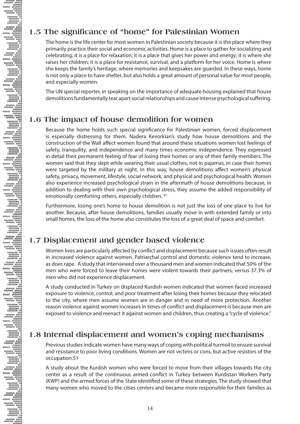## **1.5 The significance of "home" for Palestinian Women**

The home is the life center for most women in Palestinian society because it is the place where they primarily practice their social and economic activities. Home is a place to gather for socializing and celebrating; it is a place for relaxation; it is a place that gives her power and energy; it is where she raises her children; it is a place for resistance, survival, and a platform for her voice. Home is where she keeps the family's heritage, where memories and keepsakes are guarded. In these ways, home is not only a place to have shelter, but also holds a great amount of personal value for most people, and especially women.

The UN special reporter, in speaking on the importance of adequate housing explained that house demolitions fundamentally tear apart social relationships and cause intense psychological suffering.

### **1.6 The impact of house demolition for women**

Because the home holds such special significance for Palestinian women, forced displacement is especially distressing for them. Nadera Kevorkian's study how house demolitions and the construction of the Wall affect women found that around these situations women lost feelings of safety, tranquility, and independence and many times economic independence. They expressed in detail their permanent feeling of fear of losing their homes or any of their family members. The women said that they slept while wearing their usual clothes, not in pajamas, in case their homes were targeted by the military at night. In this way, house demolitions affect women's physical safety, privacy, movement, lifestyle, social network, and physical and psychological health. Women also experience increased psychological strain in the aftermath of house demolitions because, in addition to dealing with their own psychological stress, they assume the added responsibility of emotionally comforting others, especially children. 45

Furthermore, losing one's home to house demolition is not just the loss of one place to live for another. Because, after house demolitions, families usually move in with extended family or into small homes, the loss of the home also constitutes the loss of a great deal of space and comfort.

## **1.7 Displacement and gender based violence**

Women lives are particularly affected by conflict and displacement because such issues often result in increased violence against women. Patriarchal control and domestic violence tend to increase, as does rape. A study that interviewed over a thousand men and women indicated that 50% of the men who were forced to leave their homes were violent towards their partners, versus 37.3% of men who did not experience displacement.

A study conducted in Turkey on displaced Kurdish women indicated that women faced increased exposure to violence, control, and poor treatment after losing their homes because they relocated to the city, where men assume women are in danger and in need of more protection. Another reason violence against women increases in times of conflict and displacement is because men are exposed to violence and reenact it against women and children, thus creating a "cycle of violence."

## **1.8 Internal displacement and women's coping mechanisms**

Previous studies indicate women have many ways of coping with political turmoil to ensure survival and resistance to poor living conditions. Women are not victims or cons, but active resistors of the occupation.51

A study about the Kurdish women who were forced to move from their villages towards the city center as a result of the continuous armed conflict in Turkey between Kurdistan Workers Party (KWP) and the armed forces of the State identified some of these strategies. The study showed that many women who moved to the cities centers and became more responsible for their families as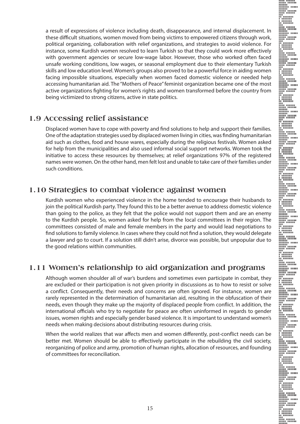a result of expressions of violence including death, disappearance, and internal displacement. In these difficult situations, women moved from being victims to empowered citizens through work, political organizing, collaboration with relief organizations, and strategies to avoid violence. For instance, some Kurdish women resolved to learn Turkish so that they could work more effectively with government agencies or secure low-wage labor. However, those who worked often faced unsafe working conditions, low wages, or seasonal employment due to their elementary Turkish skills and low education level. Women's groups also proved to be a powerful force in aiding women facing impossible situations, especially when women faced domestic violence or needed help accessing humanitarian aid. The "Mothers of Peace" feminist organization became one of the most active organizations fighting for women's rights and women transformed before the country from being victimized to strong citizens, active in state politics.

### **1.9 Accessing relief assistance**

Displaced women have to cope with poverty and find solutions to help and support their families. One of the adaptation strategies used by displaced women living in cities, was finding humanitarian aid such as clothes, food and house wares, especially during the religious festivals. Women asked for help from the municipalities and also used informal social support networks. Women took the initiative to access these resources by themselves; at relief organizations 97% of the registered names were women. On the other hand, men felt lost and unable to take care of their families under such conditions.

### **1.10 Strategies to combat violence against women**

Kurdish women who experienced violence in the home tended to encourage their husbands to join the political Kurdish party. They found this to be a better avenue to address domestic violence than going to the police, as they felt that the police would not support them and are an enemy to the Kurdish people. So, women asked for help from the local committees in their region. The committees consisted of male and female members in the party and would lead negotiations to find solutions to family violence. In cases where they could not find a solution, they would delegate a lawyer and go to court. If a solution still didn't arise, divorce was possible, but unpopular due to the good relations within communities.

### **1.11 Women's relationship to aid organization and programs**

Although women shoulder all of war's burdens and sometimes even participate in combat, they are excluded or their participation is not given priority in discussions as to how to resist or solve a conflict. Consequently, their needs and concerns are often ignored. For instance, women are rarely represented in the determination of humanitarian aid, resulting in the obfuscation of their needs, even though they make up the majority of displaced people from conflict. In addition, the international officials who try to negotiate for peace are often uninformed in regards to gender issues, women rights and especially gender based violence. It is important to understand women's needs when making decisions about distributing resources during crisis.

When the world realizes that war affects men and women differently, post-conflict needs can be better met. Women should be able to effectively participate in the rebuilding the civil society, reorganizing of police and army, promotion of human rights, allocation of resources, and founding of committees for reconciliation.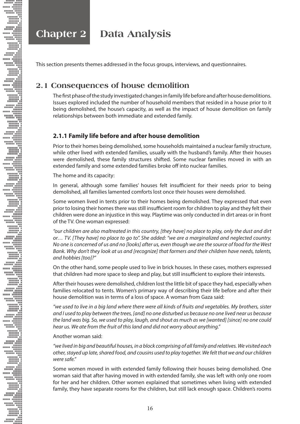**Chapter 2 Data Analysis**

This section presents themes addressed in the focus groups, interviews, and questionnaires.

### **2.1 Consequences of house demolition**

The first phase of the study investigated changes in family life before and after house demolitions. Issues explored included the number of household members that resided in a house prior to it being demolished, the house's capacity, as well as the impact of house demolition on family relationships between both immediate and extended family.

#### **2.1.1 Family life before and after house demolition**

Prior to their homes being demolished, some households maintained a nuclear family structure, while other lived with extended families, usually with the husband's family. After their houses were demolished, these family structures shifted. Some nuclear families moved in with an extended family and some extended families broke off into nuclear families.

The home and its capacity:

In general, although some families' houses felt insufficient for their needs prior to being demolished, all families lamented comforts lost once their houses were demolished.

Some women lived in tents prior to their homes being demolished. They expressed that even prior to losing their homes there was still insufficient room for children to play and they felt their children were done an injustice in this way. Playtime was only conducted in dirt areas or in front of the TV. One woman expressed:

*"our children are also maltreated in this country, [they have] no place to play, only the dust and dirt or… TV. [They have] no place to go to". She added: "we are a marginalized and neglected country. No one is concerned of us and no [looks] after us, even though we are the source of food for the West Bank. Why don't they look at us and [recognize] that farmers and their children have needs, talents, and hobbies [too]?"* 

On the other hand, some people used to live in brick houses. In these cases, mothers expressed that children had more space to sleep and play, but still insufficient to explore their interests.

After their houses were demolished, children lost the little bit of space they had, especially when families relocated to tents. Women's primary way of describing their life before and after their house demolition was in terms of a loss of space. A woman from Gaza said:

*"we used to live in a big land where there were all kinds of fruits and vegetables. My brothers, sister and I used to play between the trees, [and] no one disturbed us because no one lived near us because the land was big. So, we used to play, laugh, and shout as much as we [wanted] [since] no one could hear us. We ate from the fruit of this land and did not worry about anything."* 

Another woman said:

*"we lived in big and beautiful houses, in a block comprising of all family and relatives. We visited each other, stayed up late, shared food, and cousins used to play together. We felt that we and our children were safe."* 

Some women moved in with extended family following their houses being demolished. One woman said that after having moved in with extended family, she was left with only one room for her and her children. Other women explained that sometimes when living with extended family, they have separate rooms for the children, but still lack enough space. Children's rooms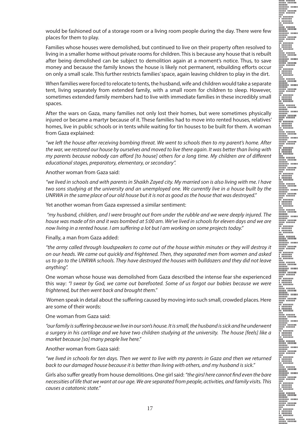would be fashioned out of a storage room or a living room people during the day. There were few places for them to play.

Families whose houses were demolished, but continued to live on their property often resolved to living in a smaller home without private rooms for children. This is because any house that is rebuilt after being demolished can be subject to demolition again at a moment's notice. Thus, to save money and because the family knows the house is likely not permanent, rebuilding efforts occur on only a small scale. This further restricts families' space, again leaving children to play in the dirt.

When families were forced to relocate to tents, the husband, wife and children would take a separate tent, living separately from extended family, with a small room for children to sleep. However, sometimes extended family members had to live with immediate families in these incredibly small spaces.

After the wars on Gaza, many families not only lost their homes, but were sometimes physically injured or became a martyr because of it. These families had to move into rented houses, relatives' homes, live in public schools or in tents while waiting for tin houses to be built for them. A woman from Gaza explained:

*"we left the house after receiving bombing threat. We went to schools then to my parent's home. After the war, we restored our house by ourselves and moved to live there again. It was better than living with my parents because nobody can afford [to house] others for a long time. My children are of different educational stages, preparatory, elementary, or secondary".* 

Another woman from Gaza said:

*"we lived in schools and with parents in Shaikh Zayed city. My married son is also living with me. I have two sons studying at the university and an unemployed one. We currently live in a house built by the UNRWA in the same place of our old house but it is not as good as the house that was destroyed."*

Yet another woman from Gaza expressed a similar sentiment:

 *"my husband, children, and I were brought out from under the rubble and we were deeply injured. The house was made of tin and it was bombed at 5:00 am. We've lived in schools for eleven days and we are now living in a rented house. I am suffering a lot but I am working on some projects today."* 

Finally, a man from Gaza added:

*"the army called through loudspeakers to come out of the house within minutes or they will destroy it on our heads. We came out quickly and frightened. Then, they separated men from women and asked us to go to the UNRWA schools. They have destroyed the houses with bulldozers and they did not leave anything".* 

One woman whose house was demolished from Gaza described the intense fear she experienced this way: *"I swear by God, we came out barefooted. Some of us forgot our babies because we were frightened, but then went back and brought them."* 

 Women speak in detail about the suffering caused by moving into such small, crowded places. Here are some of their words:

One woman from Gaza said:

*"our family is suffering because we live in our son's house. It is small, the husband is sick and he underwent a surgery in his cartilage and we have two children studying at the university. The house [feels] like a market because [so] many people live here."* 

Another woman from Gaza said:

*"we lived in schools for ten days. Then we went to live with my parents in Gaza and then we returned back to our damaged house because it is better than living with others, and my husband is sick."* 

Girls also suffer greatly from house demolitions. One girl said: *"the girsl here cannot find even the bare necessities of life that we want at our age. We are separated from people, activities, and family visits. This causes a catatonic state."*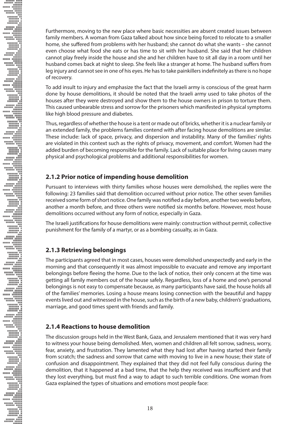Furthermore, moving to the new place where basic necessities are absent created issues between family members. A woman from Gaza talked about how since being forced to relocate to a smaller home, she suffered from problems with her husband; she cannot do what she wants – she cannot even choose what food she eats or has time to sit with her husband. She said that her children cannot play freely inside the house and she and her children have to sit all day in a room until her husband comes back at night to sleep. She feels like a stranger at home. The husband suffers from leg injury and cannot see in one of his eyes. He has to take painkillers indefinitely as there is no hope of recovery.

To add insult to injury and emphasize the fact that the Israeli army is conscious of the great harm done by house demolitions, it should be noted that the Israeli army used to take photos of the houses after they were destroyed and show them to the house owners in prison to torture them. This caused unbearable stress and sorrow for the prisoners which manifested in physical symptoms like high blood pressure and diabetes.

Thus, regardless of whether the house is a tent or made out of bricks, whether it is a nuclear family or an extended family, the problems families contend with after facing house demolitions are similar. These include: lack of space, privacy, and dispersion and instability. Many of the families' rights are violated in this context such as the rights of privacy, movement, and comfort. Women had the added burden of becoming responsible for the family. Lack of suitable place for living causes many physical and psychological problems and additional responsibilities for women.

#### **2.1.2 Prior notice of impending house demolition**

Pursuant to interviews with thirty families whose houses were demolished, the replies were the following: 23 families said that demolition occurred without prior notice. The other seven families received some form of short notice. One family was notified a day before, another two weeks before, another a month before, and three others were notified six months before. However, most house demolitions occurred without any form of notice, especially in Gaza.

The Israeli justifications for house demolitions were mainly: construction without permit, collective punishment for the family of a martyr, or as a bombing casualty, as in Gaza.

### **2.1.3 Retrieving belongings**

The participants agreed that in most cases, houses were demolished unexpectedly and early in the morning and that consequently it was almost impossible to evacuate and remove any important belongings before fleeing the home. Due to the lack of notice, their only concern at the time was getting all family members out of the house safely. Regardless, loss of a home and one's personal belongings is not easy to compensate because, as many participants have said, the house holds all of the families' memories. Losing a house means losing connection with the beautiful and happy events lived out and witnessed in the house, such as the birth of a new baby, children's' graduations, marriage, and good times spent with friends and family.

### **2.1.4 Reactions to house demolition**

The discussion groups held in the West Bank, Gaza, and Jerusalem mentioned that it was very hard to witness your house being demolished. Men, women and children all felt sorrow, sadness, worry, fear, anxiety, and frustration. They lamented what they had lost after having started their family from scratch; the sadness and sorrow that came with moving to live in a new house; their state of confusion and disappointment. They explained that they did not feel fully conscious during the demolition, that it happened at a bad time, that the help they received was insufficient and that they lost everything, but must find a way to adapt to such terrible conditions. One woman from Gaza explained the types of situations and emotions most people face: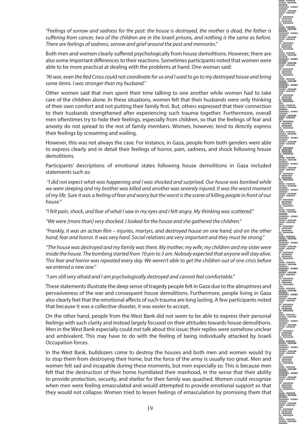*"Feelings of sorrow and sadness for the past: the house is destroyed, the mother is dead, the father is suffering from cancer, two of the children are in the Israeli prisons, and nothing is the same as before. There are feelings of sadness, sorrow and grief around the past and memories."*

Both men and women clearly suffered psychologically from house demolitions. However, there are also some important differences to their reactions. Sometimes participants noted that women were able to be more practical at dealing with the problems at hand. One woman said:

*"At war, even the Red Cross could not coordinate for us and I used to go to my destroyed house and bring some items. I was stronger than my husband."* 

Other women said that men spent their time talking to one another while women had to take care of the children alone. In these situations, women felt that their husbands were only thinking of their own comfort and not putting their family first. But, others expressed that their connection to their husbands strengthened after experiencing such trauma together. Furthermore, overall men oftentimes try to hide their feelings, especially from children, so that the feelings of fear and anxiety do not spread to the rest of family members. Women, however, tend to directly express their feelings by screaming and wailing.

However, this was not always the case. For instance, in Gaza, people from both genders were able to express clearly and in detail their feelings of horror, pain, sadness, and shock following house demolitions.

Participants' descriptions of emotional states following house demolitions in Gaza included statements such as:

 *"I did not expect what was happening and I was shocked and surprised. Our house was bombed while we were sleeping and my brother was killed and another was severely injured. It was the worst moment of my life. Sure it was a feeling of fear and worry but the worst is the scene of killing people in front of our house."*

*"I felt pain, shock, and fear of what I saw in my eyes and I felt angry. My thinking was scattered."* 

*"We were [more than] very shocked. I looked for the house and she gathered the children."* 

*"Frankly, it was an action film – injuries, martyrs, and destroyed house on one hand, and on the other hand, fear and horror. It was very hard. Social relations are very important and they must be strong."* 

*"The house was destroyed and my family was there. My mother, my wife, my children and my sister were inside the house. The bombing started from 10 pm to 3 am. Nobody expected that anyone will stay alive. This fear and horror was repeated every day. We weren't able to get the children out of one crisis before we entered a new one."* 

*"I am still very afraid and I am psychologically destroyed and cannot feel comfortable."* 

These statements illustrate the deep sense of tragedy people felt in Gaza due to the abruptness and pervasiveness of the war and consequent house demolitions. Furthermore, people living in Gaza also clearly feel that the emotional affects of such trauma are long lasting. A few participants noted that because it was a collective disaster, it was easier to accept.

On the other hand, people from the West Bank did not seem to be able to express their personal feelings with such clarity and instead largely focused on their attitudes towards house demolitions. Men in the West Bank especially could not talk about this issue; their replies were somehow unclear and ambivalent. This may have to do with the feeling of being individually attacked by Israeli Occupation forces.

In the West Bank, bulldozers come to destroy the houses and both men and women would try to stop them from destroying their home, but the force of the army is usually too great. Men and women felt sad and incapable during these moments, but men especially so. This is because men felt that the destruction of their home humiliated their manhood, in the sense that their ability to provide protection, security, and shelter for their family was quashed. Women could recognize when men were feeling emasculated and would attempted to provide emotional support so that they would not collapse. Women tried to lessen feelings of emasculation by promising them that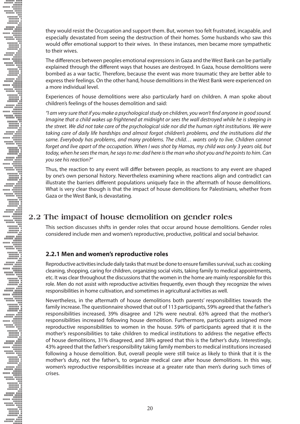they would resist the Occupation and support them. But, women too felt frustrated, incapable, and especially devastated from seeing the destruction of their homes. Some husbands who saw this would offer emotional support to their wives. In these instances, men became more sympathetic to their wives.

The differences between peoples emotional expressions in Gaza and the West Bank can be partially explained through the different ways that houses are destroyed. In Gaza, house demolitions were bombed as a war tactic. Therefore, because the event was more traumatic they are better able to express their feelings. On the other hand, house demolitions in the West Bank were experienced on a more individual level.

Experiences of house demolitions were also particularly hard on children. A man spoke about children's feelings of the houses demolition and said:

*"I am very sure that if you make a psychological study on children, you won't find anyone in good sound. Imagine that a child wakes up frightened at midnight or sees the wall destroyed while he is sleeping in the street. We did not take care of the psychological side nor did the human right institutions. We were taking care of daily life hardships and almost forgot children's problems, and the institutions did the same. Everybody has problems, and many problems. The child… wants only to live. Children cannot forget and live apart of the occupation. When I was shot by Hamas, my child was only 3 years old, but today, when he sees the man, he says to me: dad here is the man who shot you and he points to him. Can you see his reaction?"* 

Thus, the reaction to any event will differ between people, as reactions to any event are shaped by one's own personal history. Nevertheless examining where reactions align and contradict can illustrate the barriers different populations uniquely face in the aftermath of house demolitions. What is very clear though is that the impact of house demolitions for Palestinians, whether from Gaza or the West Bank, is devastating.

### **2.2 The impact of house demolition on gender roles**

This section discusses shifts in gender roles that occur around house demolitions. Gender roles considered include men and women's reproductive, productive, political and social behavior.

#### **2.2.1 Men and women's reproductive roles**

Reproductive activities include daily tasks that must be done to ensure families survival, such as: cooking cleaning, shopping, caring for children, organizing social visits, taking family to medical appointments, etc. It was clear throughout the discussions that the women in the home are mainly responsible for this role. Men do not assist with reproductive activities frequently, even though they recognize the wives responsibilities in home cultivation, and sometimes in agricultural activities as well.

Nevertheless, in the aftermath of house demolitions both parents' responsibilities towards the family increase. The questionnaire showed that out of 113 participants, 59% agreed that the father's responsibilities increased, 39% disagree and 12% were neutral. 63% agreed that the mother's responsibilities increased following house demolition. Furthermore, participants assigned more reproductive responsibilities to women in the house. 59% of participants agreed that it is the mother's responsibilities to take children to medical institutions to address the negative effects of house demolitions, 31% disagreed, and 38% agreed that this is the father's duty. Interestingly, 43% agreed that the father's responsibility taking family members to medical institutions increased following a house demolition. But, overall people were still twice as likely to think that it is the mother's duty, not the father's, to organize medical care after house demolitions. In this way, women's reproductive responsibilities increase at a greater rate than men's during such times of crises.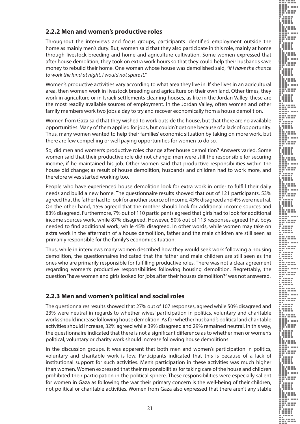#### **2.2.2 Men and women's productive roles**

Throughout the interviews and focus groups, participants identified employment outside the home as mainly men's duty. But, women said that they also participate in this role, mainly at home through livestock breeding and home and agriculture cultivation. Some women expressed that after house demolition, they took on extra work hours so that they could help their husbands save money to rebuild their home. One woman whose house was demolished said, *"if I have the chance to work the land at night, I would not spare it."*

Women's productive activities vary according to what area they live in. If she lives in an agricultural area, then women work in livestock breeding and agriculture on their own land. Other times, they work in agriculture or in Israeli settlements cleaning houses, as like in the Jordan Valley, these are the most readily available sources of employment. In the Jordan Valley, often women and other family members work two jobs a day to try and recover economically from a house demolition.

Women from Gaza said that they wished to work outside the house, but that there are no available opportunities. Many of them applied for jobs, but couldn't get one because of a lack of opportunity. Thus, many women wanted to help their families' economic situation by taking on more work, but there are few compelling or well paying opportunities for women to do so.

So, did men and women's productive roles change after house demolition? Answers varied. Some women said that their productive role did not change: men were still the responsible for securing income, if he maintained his job. Other women said that productive responsibilities within the house did change; as result of house demolition, husbands and children had to work more, and therefore wives started working too.

People who have experienced house demolition look for extra work in order to fulfill their daily needs and build a new home. The questionnaire results showed that out of 121 participants, 53% agreed that the father had to look for another source of income, 43% disagreed and 4% were neutral. On the other hand, 15% agreed that the mother should look for additional income sources and 83% disagreed. Furthermore, 7% out of 110 participants agreed that girls had to look for additional income sources work, while 87% disagreed. However, 50% out of 113 responses agreed that boys needed to find additional work, while 45% disagreed. In other words, while women may take on extra work in the aftermath of a house demolition, father and the male children are still seen as primarily responsible for the family's economic situation.

Thus, while in interviews many women described how they would seek work following a housing demolition, the questionnaires indicated that the father and male children are still seen as the ones who are primarily responsible for fulfilling productive roles. There was not a clear agreement regarding women's productive responsibilities following housing demolition. Regrettably, the question "have women and girls looked for jobs after their houses demolition?" was not answered.

#### **2.2.3 Men and women's political and social roles**

The questionnaires results showed that 27% out of 107 responses, agreed while 50% disagreed and 23% were neutral in regards to whether wives' participation in politics, voluntary and charitable works should increase following house demolition. As for whether husband's political and charitable activities should increase, 32% agreed while 39% disagreed and 29% remained neutral. In this way, the questionnaire indicated that there is not a significant difference as to whether men or women's political, voluntary or charity work should increase following house demolitions.

In the discussion groups, it was apparent that both men and women's participation in politics, voluntary and charitable work is low. Participants indicated that this is because of a lack of institutional support for such activities. Men's participation in these activities was much higher than women. Women expressed that their responsibilities for taking care of the house and children prohibited their participation in the political sphere. These responsibilities were especially salient for women in Gaza as following the war their primary concern is the well-being of their children, not political or charitable activities. Women from Gaza also expressed that there aren't any stable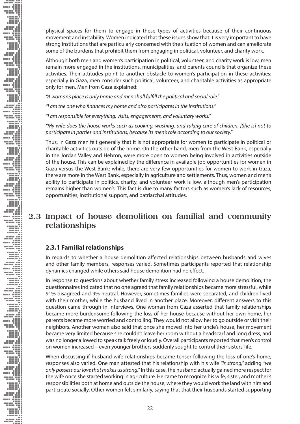physical spaces for them to engage in these types of activities because of their continuous movement and instability. Women indicated that these issues show that it is very important to have strong institutions that are particularly concerned with the situation of women and can ameliorate some of the burdens that prohibit them from engaging in political, volunteer, and charity work.

Although both men and women's participation in political, volunteer, and charity work is low, men remain more engaged in the institutions, municipalities, and parents councils that organize these activities. Their attitudes point to another obstacle to women's participation in these activities: especially in Gaza, men consider such political, volunteer, and charitable activities as appropriate only for men. Men from Gaza explained:

*"A woman's place is only home and men shall fulfill the political and social role."* 

*"I am the one who finances my home and also participates in the institutions."* 

*"I am responsible for everything, visits, engagements, and voluntary works."* 

*"My wife does the house works such as cooking, washing, and taking care of children. [She is] not to participate in parties and institutions, because its men's role according to our society."* 

Thus, in Gaza men felt generally that it is not appropriate for women to participate in political or charitable activities outside of the home. On the other hand, men from the West Bank, especially in the Jordan Valley and Hebron, were more open to women being involved in activities outside of the house. This can be explained by the difference in available job opportunities for women in Gaza versus the West Bank: while, there are very few opportunities for women to work in Gaza, there are more in the West Bank, especially in agriculture and settlements. Thus, women and men's ability to participate in politics, charity, and volunteer work is low, although men's participation remains higher than women's. This fact is due to many factors such as women's lack of resources, opportunities, institutional support, and patriarchal attitudes.

### **2.3 Impact of house demolition on familial and community relationships**

#### **2.3.1 Familial relationships**

**EXAMPLE ON A PRODUCT ON A PRODUCT ON A PRODUCT ON A PRODUCT ON A PRODUCT ON A PRODUCT** ON A PRODUCT ON A PRODUCT ON A PRODUCT ON A PRODUCT ON A PRODUCT ON A PRODUCT ON A PRODUCT ON A PRODUCT ON A PRODUCT ON A PRODUCT ON A

In regards to whether a house demolition affected relationships between husbands and wives and other family members, responses varied. Sometimes participants reported that relationship dynamics changed while others said house demolition had no effect.

In response to questions about whether family stress increased following a house demolition, the questionnaires indicated that no one agreed that family relationships became more stressful, while 91% disagreed and 9% neutral. However, sometimes families were separated, and children lived with their mother, while the husband lived in another place. Moreover, different answers to this question came through in interviews. One woman from Gaza asserted that family relationships became more burdensome following the loss of her house because without her own home, her parents became more worried and controlling. They would not allow her to go outside or visit their neighbors. Another woman also said that once she moved into her uncle's house, her movement became very limited because she couldn't leave her room without a headscarf and long dress, and was no longer allowed to speak talk freely or loudly. Overall participants reported that men's control on women increased – even younger brothers suddenly sought to control their sisters' life.

When discussing if husband-wife relationships became tenser following the loss of one's home, responses also varied. One man attested that his relationship with his wife *"is strong,"* adding *"we only possess our love that makes us strong."* In this case, the husband actually gained more respect for the wife once she started working in agriculture. He came to recognize his wife, sister, and mother's responsibilities both at home and outside the house, where they would work the land with him and participate socially. Other women felt similarly, saying that that their husbands started supporting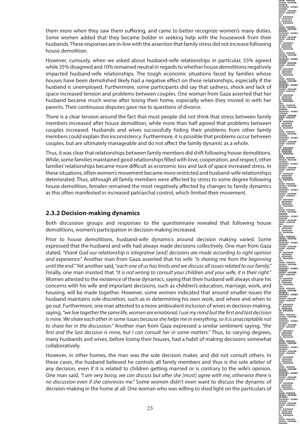them more when they saw them suffering, and came to better recognize women's many duties. Some women added that they became bolder in seeking help with the housework from their husbands. These responses are in-line with the assertion that family stress did not increase following house demolition.

However, curiously, when we asked about husband-wife relationships in particular, 55% agreed while 35% disagreed and 10% remained neutral in regards to whether house demolitions negatively impacted husband-wife relationships. The tough economic situations faced by families whose houses have been demolished likely had a negative effect on these relationships, especially if the husband is unemployed. Furthermore, some participants did say that sadness, shock and lack of space increased tension and problems between couples. One woman from Gaza asserted that her husband became much worse after losing their home, especially when they moved in with her parents. Their continuous disputes gave rise to questions of divorce.

There is a clear tension around the fact that most people did not think that stress between family members increased after house demolition, while more than half agreed that problems between couples increased. Husbands and wives successfully hiding their problems from other family members could explain this inconsistency. Furthermore, it is possible that problems occur between couples, but are ultimately manageable and do not affect the family dynamic as a whole.

Thus, it was clear that relationships between family members did shift following house demolitions. While, some families maintained good relationships filled with love, cooperation, and respect, other families' relationships became more difficult as economic loss and lack of space increased stress. In these situations, often women's movement became more restricted and husband-wife relationships deteriorated. Thus, although all family members were affected by stress to some degree following house demolition, females remained the most negatively affected by changes to family dynamics as this often manifested in increased patriarchal control, which limited their movement.

#### **2.3.2 Decision-making dynamics**

Both discussion groups and responses to the questionnaire revealed that following house demolitions, women's participation in decision-making increased.

Prior to house demolitions, husband-wife dynamics around decision making varied. Some expressed that the husband and wife had always made decisions collectively. One man from Gaza stated, *"thank God our relationship is integrative [and] decisions are made according to right opinion and experience."* Another man from Gaza asserted that his wife *"is sharing me from the beginning until the end."* Yet another said, "*each one of us has limits and we discuss all issues related to our family."*  Finally, one man insisted that *"it is not wrong to consult your children and your wife, it is their right."* Women attested to the existence of these dynamics, saying that their husband will always share his concerns with his wife and important decisions, such as children's education, marriage, work, and housing, will be made together. However, some women indicated that around smaller issues the husband maintains sole discretion, such as in determining his own work, and where and when to go out. Furthermore, one man attested to a more ambivalent inclusion of wives in decision-making, saying, *"we live together the same life, women are emotional, I use my mind but the first and last decision is mine. We share each other in some issues because she helps me in everything, so it is unacceptable not to share her in the discussion."* Another man from Gaza expressed a similar sentiment saying, *"the first and the last decision is mine, but I can consult her in some matters."* Thus, to varying degrees, many husbands and wives, before losing their houses, had a habit of making decisions somewhat collaboratively.

However, in other homes, the man was the sole decision maker, and did not consult others. In these cases, the husband believed he controls all family members and thus is the sole arbiter of any decision, even if it is related to children getting married or is contrary to the wife's opinion. One man said, *"I am very bossy, we can discuss but after she [must] agree with me, otherwise there is no discussion even if she convinces me."* Some women didn't even want to discuss the dynamic of decision-making in the home at all. One woman who was willing to shed light on the particulars of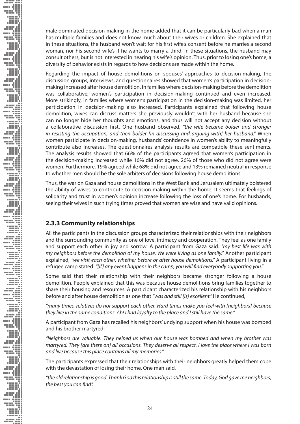male dominated decision-making in the home added that it can be particularly bad when a man has multiple families and does not know much about their wives or children. She explained that in these situations, the husband won't wait for his first wife's consent before he marries a second woman, nor his second wife's if he wants to marry a third. In these situations, the husband may consult others, but is not interested in hearing his wife's opinion. Thus, prior to losing one's home, a diversity of behavior exists in regards to how decisions are made within the home.

Regarding the impact of house demolitions on spouses' approaches to decision-making, the discussion groups, interviews, and questionnaires showed that women's participation in decisionmaking increased after house demolition. In families where decision-making before the demolition was collaborative, women's participation in decision-making continued and even increased. More strikingly, in families where women's participation in the decision-making was limited, her participation in decision-making also increased. Participants explained that following house demolition, wives can discuss matters she previously wouldn't with her husband because she can no longer hide her thoughts and emotions, and thus will not accept any decision without a collaborative discussion first. One husband observed, *"the wife became bolder and stronger in resisting the occupation, and then bolder [in discussing and arguing with] her husband."* When women participate in decision-making, husbands' confidence in women's ability to meaningfully contribute also increases. The questionnaires analysis results are compatible these sentiments. The analysis results showed that 66% of the participants agreed that women's participation in the decision-making increased while 16% did not agree. 26% of those who did not agree were women. Furthermore, 19% agreed while 68% did not agree and 13% remained neutral in response to whether men should be the sole arbiters of decisions following house demolitions.

Thus, the war on Gaza and house demolitions in the West Bank and Jerusalem ultimately bolstered the ability of wives to contribute to decision-making within the home. It seems that feelings of solidarity and trust in women's opinion increase following the loss of one's home. For husbands, seeing their wives in such trying times proved that women are wise and have valid opinions.

### **2.3.3 Community relationships**

All the participants in the discussion groups characterized their relationships with their neighbors and the surrounding community as one of love, intimacy and cooperation. They feel as one family and support each other in joy and sorrow. A participant from Gaza said: *"my best life was with my neighbors before the demolition of my house. We were living as one family."* Another participant explained, *"we visit each other, whether before or after house demolitions."* A participant living in a refugee camp stated: *"[if] any event happens in the camp, you will find everybody supporting you."*

Some said that their relationship with their neighbors became stronger following a house demolition. People explained that this was because house demolitions bring families together to share their housing and resources. A participant characterized his relationship with his neighbors before and after house demolition as one that *"was and still [is] excellent."* He continued,

*"many times, relatives do not support each other. Hard times make you feel with [neighbors] because they live in the same conditions. Ah! I had loyalty to the place and I still have the same."*

A participant from Gaza has recalled his neighbors' undying support when his house was bombed and his brother martyred:

*"Neighbors are valuable. They helped us when our house was bombed and when my brother was martyred. They [are there on] all occasions. They deserve all respect. I love the place where I was born and live because this place contains all my memories."* 

The participants expressed that their relationships with their neighbors greatly helped them cope with the devastation of losing their home. One man said,

*"the old relationship is good. Thank God this relationship is still the same. Today, God gave me neighbors, the best you can find".*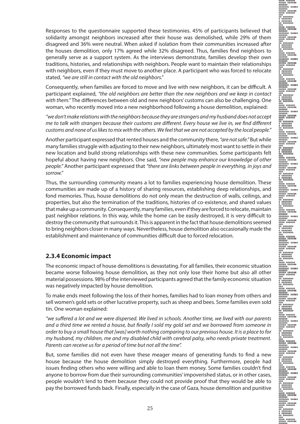Responses to the questionnaire supported these testimonies. 45% of participants believed that solidarity amongst neighbors increased after their house was demolished, while 29% of them disagreed and 36% were neutral. When asked if isolation from their communities increased after the houses demolition, only 17% agreed while 32% disagreed. Thus, families find neighbors to generally serve as a support system. As the interviews demonstrate, families develop their own traditions, histories, and relationships with neighbors. People want to maintain their relationships with neighbors, even if they must move to another place. A participant who was forced to relocate stated, *"we are still in contact with the old neighbors."*

Consequently, when families are forced to move and live with new neighbors, it can be difficult. A participant explained, *"the old neighbors are better than the new neighbors and we keep in contact with them."* The differences between old and new neighbors' customs can also be challenging. One woman, who recently moved into a new neighborhood following a house demolition, explained:

*"we don't make relations with the neighbors because they are strangers and my husband does not accept me to talk with strangers because their customs are different. Every house we live in, we find different customs and none of us likes to mix with the others. We feel that we are not accepted by the local people."* 

Another participant expressed that rented houses and the community there, *"are not safe."* But while many families struggle with adjusting to their new neighbors, ultimately most want to settle in their new location and build strong relationships with these new communities. Some participants felt hopeful about having new neighbors. One said, *"new people may enhance our knowledge of other people."* Another participant expressed that *"there are links between people in everything, in joys and sorrow."*

Thus, the surrounding community means a lot to families experiencing house demolition. These communities are made up of a history of sharing resources, establishing deep relationships, and fond memories. Thus, house demolitions do not only mean the destruction of walls, ceilings, and properties, but also the termination of the traditions, histories of co-existence, and shared values that make up a community. Consequently, many families, even if they are forced to relocate, maintain past neighbor relations. In this way, while the home can be easily destroyed, it is very difficult to destroy the community that surrounds it. This is apparent in the fact that house demolitions seemed to bring neighbors closer in many ways. Nevertheless, house demolition also occasionally made the establishment and maintenance of communities difficult due to forced relocation.

#### **2.3.4 Economic impact**

The economic impact of house demolitions is devastating. For all families, their economic situation became worse following house demolition, as they not only lose their home but also all other material possessions. 98% of the interviewed participants agreed that the family economic situation was negatively impacted by house demolition.

To make ends meet following the loss of their homes, families had to loan money from others and sell women's gold sets or other lucrative property, such as sheep and bees. Some families even sold tin. One woman explained:

*"we suffered a lot and we were dispersed. We lived in schools. Another time, we lived with our parents and a third time we rented a house, but finally I sold my gold set and we borrowed from someone in order to buy a small house that [was] worth nothing comparing to our previous house. It is a place to for my husband, my children, me and my disabled child with cerebral palsy, who needs private treatment. Parents can receive us for a period of time but not all the time".* 

But, some families did not even have these meager means of generating funds to find a new house because the house demolition simply destroyed everything. Furthermore, people had issues finding others who were willing and able to loan them money. Some families couldn't find anyone to borrow from due their surrounding communities' impoverished status, or in other cases, people wouldn't lend to them because they could not provide proof that they would be able to pay the borrowed funds back. Finally, especially in the case of Gaza, house demolition and punitive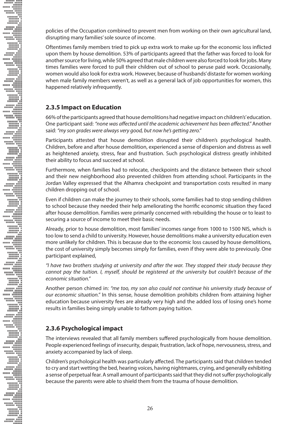policies of the Occupation combined to prevent men from working on their own agricultural land, disrupting many families' sole source of income.

Oftentimes family members tried to pick up extra work to make up for the economic loss inflicted upon them by house demolition. 53% of participants agreed that the father was forced to look for another source for living, while 50% agreed that male children were also forced to look for jobs. Many times families were forced to pull their children out of school to peruse paid work. Occasionally, women would also look for extra work. However, because of husbands' distaste for women working when male family members weren't, as well as a general lack of job opportunities for women, this happened relatively infrequently.

#### **2.3.5 Impact on Education**

66% of the participants agreed that house demolitions had negative impact on children's' education. One participant said: *"none was affected until the academic achievement has been affected."* Another said: *"my son grades were always very good, but now he's getting zero."*

Participants attested that house demolition disrupted their children's psychological health. Children, before and after house demolition, experienced a sense of dispersion and distress as well as heightened anxiety, stress, fear and frustration. Such psychological distress greatly inhibited their ability to focus and succeed at school.

Furthermore, when families had to relocate, checkpoints and the distance between their school and their new neighborhood also prevented children from attending school. Participants in the Jordan Valley expressed that the Alhamra checkpoint and transportation costs resulted in many children dropping out of school.

Even if children can make the journey to their schools, some families had to stop sending children to school because they needed their help ameliorating the horrific economic situation they faced after house demolition. Families were primarily concerned with rebuilding the house or to least to securing a source of income to meet their basic needs.

Already, prior to house demolition, most families' incomes range from 1000 to 1500 NIS, which is too low to send a child to university. However, house demolitions make a university education even more unlikely for children. This is because due to the economic loss caused by house demolitions, the cost of university simply becomes simply for families, even if they were able to previously. One participant explained,

*"I have two brothers studying at university and after the war. They stopped their study because they cannot pay the tuition. I, myself, should be registered at the university but couldn't because of the economic situation."* 

Another person chimed in: *"me too, my son also could not continue his university study because of our economic situation."* In this sense, house demolition prohibits children from attaining higher education because university fees are already very high and the added loss of losing one's home results in families being simply unable to fathom paying tuition.

### **2.3.6 Psychological impact**

**NORTHDRAIN CONFORMATION CONFORMATION CONFORMATION CONFORMATION CONFORMATION CONFORMATION CONFORMATION CONFORMATION** 

The interviews revealed that all family members suffered psychologically from house demolition. People experienced feelings of insecurity, despair, frustration, lack of hope, nervousness, stress, and anxiety accompanied by lack of sleep.

Children's psychological health was particularly affected. The participants said that children tended to cry and start wetting the bed, hearing voices, having nightmares, crying, and generally exhibiting a sense of perpetual fear. A small amount of participants said that they did not suffer psychologically because the parents were able to shield them from the trauma of house demolition.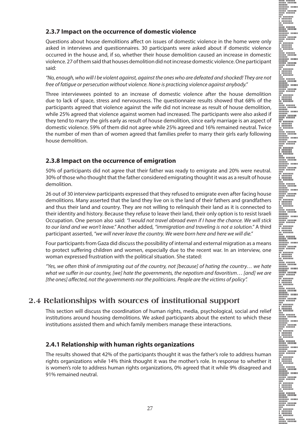#### **2.3.7 Impact on the occurrence of domestic violence**

Questions about house demolitions affect on issues of domestic violence in the home were only asked in interviews and questionnaires. 30 participants were asked about if domestic violence occurred in the house and, if so, whether their house demolition caused an increase in domestic violence. 27 of them said that houses demolition did not increase domestic violence. One participant said:

*"No, enough, who will I be violent against, against the ones who are defeated and shocked! They are not free of fatigue or persecution without violence. None is practicing violence against anybody."* 

Three interviewees pointed to an increase of domestic violence after the house demolition due to lack of space, stress and nervousness. The questionnaire results showed that 68% of the participants agreed that violence against the wife did not increase as result of house demolition, while 25% agreed that violence against women had increased. The participants were also asked if they tend to marry the girls early as result of house demolition, since early marriage is an aspect of domestic violence. 59% of them did not agree while 25% agreed and 16% remained neutral. Twice the number of men than of women agreed that families prefer to marry their girls early following house demolition.

#### **2.3.8 Impact on the occurrence of emigration**

50% of participants did not agree that their father was ready to emigrate and 20% were neutral. 30% of those who thought that the father considered emigrating thought it was as a result of house demolition.

26 out of 30 interview participants expressed that they refused to emigrate even after facing house demolitions. Many asserted that the land they live on is the land of their fathers and grandfathers and thus their land and country. They are not willing to relinquish their land as it is connected to their identity and history. Because they refuse to leave their land, their only option is to resist Israeli Occupation. One person also said: *"I would not travel abroad even if I have the chance. We will stick to our land and we won't leave."* Another added, *"immigration and traveling is not a solution."* A third participant asserted, *"we will never leave the country. We were born here and here we will die."*

Four participants from Gaza did discuss the possibility of internal and external migration as a means to protect suffering children and women, especially due to the recent war. In an interview, one woman expressed frustration with the political situation. She stated:

*"Yes, we often think of immigrating out of the country, not [because] of hating the country… we hate what we suffer in our country, [we] hate the governments, the nepotism and favoritism… [and] we are [the ones] affected, not the governments nor the politicians. People are the victims of policy".* 

## **2.4 Relationships with sources of institutional support**

This section will discuss the coordination of human rights, media, psychological, social and relief institutions around housing demolitions. We asked participants about the extent to which these institutions assisted them and which family members manage these interactions.

### **2.4.1 Relationship with human rights organizations**

The results showed that 42% of the participants thought it was the father's role to address human rights organizations while 14% think thought it was the mother's role. In response to whether it is women's role to address human rights organizations, 0% agreed that it while 9% disagreed and 91% remained neutral.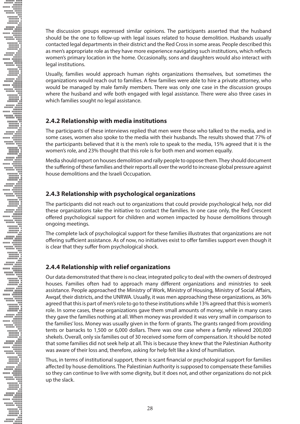The discussion groups expressed similar opinions. The participants asserted that the husband should be the one to follow-up with legal issues related to house demolition. Husbands usually contacted legal departments in their district and the Red Cross in some areas. People described this as men's appropriate role as they have more experience navigating such institutions, which reflects women's primary location in the home. Occasionally, sons and daughters would also interact with legal institutions.

Usually, families would approach human rights organizations themselves, but sometimes the organizations would reach out to families. A few families were able to hire a private attorney, who would be managed by male family members. There was only one case in the discussion groups where the husband and wife both engaged with legal assistance. There were also three cases in which families sought no legal assistance.

### **2.4.2 Relationship with media institutions**

The participants of these interviews replied that men were those who talked to the media, and in some cases, women also spoke to the media with their husbands. The results showed that 77% of the participants believed that it is the men's role to speak to the media, 15% agreed that it is the women's role, and 23% thought that this role is for both men and women equally.

Media should report on houses demolition and rally people to oppose them. They should document the suffering of these families and their reports all over the world to increase global pressure against house demolitions and the Israeli Occupation.

#### **2.4.3 Relationship with psychological organizations**

The participants did not reach out to organizations that could provide psychological help, nor did these organizations take the initiative to contact the families. In one case only, the Red Crescent offered psychological support for children and women impacted by house demolitions through ongoing meetings.

The complete lack of psychological support for these families illustrates that organizations are not offering sufficient assistance. As of now, no initiatives exist to offer families support even though it is clear that they suffer from psychological shock.

#### **2.4.4 Relationship with relief organizations**

Our data demonstrated that there is no clear, integrated policy to deal with the owners of destroyed houses. Families often had to approach many different organizations and ministries to seek assistance. People approached the Ministry of Work, Ministry of Housing, Ministry of Social Affairs, Awqaf, their districts, and the UNRWA. Usually, it was men approaching these organizations, as 36% agreed that this is part of men's role to go to these institutions while 13% agreed that this is women's role. In some cases, these organizations gave them small amounts of money, while in many cases they gave the families nothing at all. When money was provided it was very small in comparison to the families' loss. Money was usually given in the form of grants. The grants ranged from providing tents or barracks to 1,500 or 6,000 dollars. There was one case where a family relieved 200,000 shekels. Overall, only six families out of 30 received some form of compensation. It should be noted that some families did not seek help at all. This is because they knew that the Palestinian Authority was aware of their loss and, therefore, asking for help felt like a kind of humiliation.

Thus, in terms of institutional support, there is scant financial or psychological support for families affected by house demolitions. The Palestinian Authority is supposed to compensate these families so they can continue to live with some dignity, but it does not, and other organizations do not pick up the slack.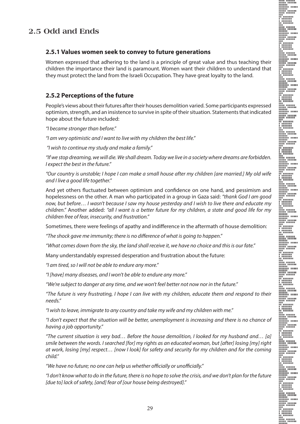#### **2.5.1 Values women seek to convey to future generations**

Women expressed that adhering to the land is a principle of great value and thus teaching their children the importance their land is paramount. Women want their children to understand that they must protect the land from the Israeli Occupation. They have great loyalty to the land.

#### **2.5.2 Perceptions of the future**

People's views about their futures after their houses demolition varied. Some participants expressed optimism, strength, and an insistence to survive in spite of their situation. Statements that indicated hope about the future included:

*"I became stronger than before."* 

*"I am very optimistic and I want to live with my children the best life."* 

 *"I wish to continue my study and make a family."* 

*"If we stop dreaming, we will die. We shall dream. Today we live in a society where dreams are forbidden. I expect the best in the future."* 

*"Our country is unstable; I hope I can make a small house after my children [are married.] My old wife and I live a good life together."* 

And yet others fluctuated between optimism and confidence on one hand, and pessimism and hopelessness on the other. A man who participated in a group in Gaza said: *"thank God I am good now, but before… I wasn't because I saw my house yesterday and I wish to live there and educate my children."* Another added: *"all I want is a better future for my children, a state and good life for my children free of fear, insecurity, and frustration."*

Sometimes, there were feelings of apathy and indifference in the aftermath of house demolition:

*"The shock gave me immunity; there is no difference of what is going to happen."* 

*"What comes down from the sky, the land shall receive it, we have no choice and this is our fate."* 

Many understandably expressed desperation and frustration about the future:

*"I am tired, so I will not be able to endure any more."* 

*"I [have] many diseases, and I won't be able to endure any more."*

*"We're subject to danger at any time, and we won't feel better not now nor in the future."* 

*"The future is very frustrating, I hope I can live with my children, educate them and respond to their needs."* 

*"I wish to leave, immigrate to any country and take my wife and my children with me."*

*"I don't expect that the situation will be better, unemployment is increasing and there is no chance of having a job opportunity."* 

*"The current situation is very bad… Before the house demolition, I looked for my husband and… [a] smile between the words. I searched [for] my rights as an educated woman, but [after] losing [my] right at work, losing [my] respect… [now I look] for safety and security for my children and for the coming child."* 

*"We have no future; no one can help us whether officially or unofficially."* 

*"I don't know what to do in the future, there is no hope to solve the crisis, and we don't plan for the future [due to] lack of safety, [and] fear of [our house being destroyed]."*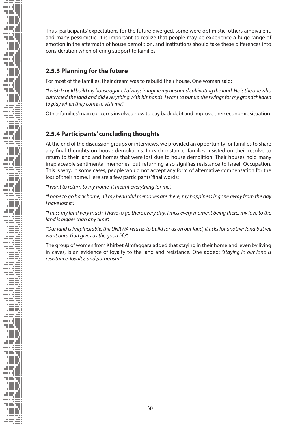Thus, participants' expectations for the future diverged, some were optimistic, others ambivalent, and many pessimistic. It is important to realize that people may be experience a huge range of emotion in the aftermath of house demolition, and institutions should take these differences into consideration when offering support to families.

#### **2.5.3 Planning for the future**

For most of the families, their dream was to rebuild their house. One woman said:

*"I wish I could build my house again. I always imagine my husband cultivating the land. He is the one who cultivated the land and did everything with his hands. I want to put up the swings for my grandchildren to play when they come to visit me".* 

Other families' main concerns involved how to pay back debt and improve their economic situation.

#### **2.5.4 Participants' concluding thoughts**

At the end of the discussion groups or interviews, we provided an opportunity for families to share any final thoughts on house demolitions. In each instance, families insisted on their resolve to return to their land and homes that were lost due to house demolition. Their houses hold many irreplaceable sentimental memories, but returning also signifies resistance to Israeli Occupation. This is why, in some cases, people would not accept any form of alternative compensation for the loss of their home. Here are a few participants' final words:

*"I want to return to my home, it meant everything for me".* 

**Example 2000 And the Contract of the Contract of the Contract of the Contract of the Contract of the Contract of the Contract of the Contract of the Contract of the Contract of the Contract of the Contract of the Contract** 

*"I hope to go back home, all my beautiful memories are there, my happiness is gone away from the day I have lost it".* 

*"I miss my land very much, I have to go there every day, I miss every moment being there, my love to the land is bigger than any time".* 

*"Our land is irreplaceable, the UNRWA refuses to build for us on our land, it asks for another land but we want ours, God gives us the good life".* 

The group of women from Khirbet Almfaqqara added that staying in their homeland, even by living in caves, is an evidence of loyalty to the land and resistance. One added: *"staying in our land is resistance, loyalty, and patriotism."*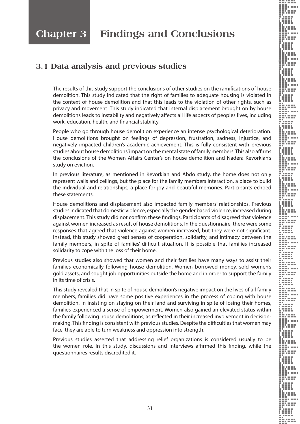# **Chapter 3 Findings and Conclusions**

## **3.1 Data analysis and previous studies**

The results of this study support the conclusions of other studies on the ramifications of house demolition. This study indicated that the right of families to adequate housing is violated in the context of house demolition and that this leads to the violation of other rights, such as privacy and movement. This study indicated that internal displacement brought on by house demolitions leads to instability and negatively affects all life aspects of peoples lives, including work, education, health, and financial stability.

People who go through house demolition experience an intense psychological deterioration. House demolitions brought on feelings of depression, frustration, sadness, injustice, and negatively impacted children's academic achievement. This is fully consistent with previous studies about house demolitions' impact on the mental state of family members. This also affirms the conclusions of the Women Affairs Center's on house demolition and Nadera Kevorkian's study on eviction.

In previous literature, as mentioned in Kevorkian and Abdo study, the home does not only represent walls and ceilings, but the place for the family members interaction, a place to build the individual and relationships, a place for joy and beautiful memories. Participants echoed these statements.

House demolitions and displacement also impacted family members' relationships. Previous studies indicated that domestic violence, especially the gender based violence, increased during displacement. This study did not confirm these findings. Participants of disagreed that violence against women increased as result of house demolitions. In the questionnaire, there were some responses that agreed that violence against women increased, but they were not significant. Instead, this study showed great senses of cooperation, solidarity, and intimacy between the family members, in spite of families' difficult situation. It is possible that families increased solidarity to cope with the loss of their home.

Previous studies also showed that women and their families have many ways to assist their families economically following house demolition. Women borrowed money, sold women's gold assets, and sought job opportunities outside the home and in order to support the family in its time of crisis.

This study revealed that in spite of house demolition's negative impact on the lives of all family members, families did have some positive experiences in the process of coping with house demolition. In insisting on staying on their land and surviving in spite of losing their homes, families experienced a sense of empowerment. Women also gained an elevated status within the family following house demolitions, as reflected in their increased involvement in decisionmaking. This finding is consistent with previous studies. Despite the difficulties that women may face, they are able to turn weakness and oppression into strength.

Previous studies asserted that addressing relief organizations is considered usually to be the women role. In this study, discussions and interviews affirmed this finding, while the questionnaires results discredited it.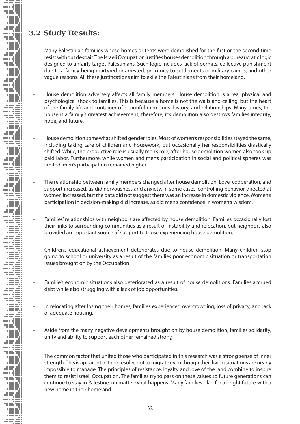### **3.2 Study Results:**

- Many Palestinian families whose homes or tents were demolished for the first or the second time resist without despair. The Israeli Occupation justifies houses demolition through a bureaucratic logic designed to unfairly target Palestinians. Such logic includes lack of permits, collective punishment due to a family being martyred or arrested, proximity to settlements or military camps, and other vague reasons. All these justifications aim to exile the Palestinians from their homeland.
- House demolition adversely affects all family members. House demolition is a real physical and psychological shock to families. This is because a home is not the walls and ceiling, but the heart of the family life and container of beautiful memories, history, and relationships. Many times, the house is a family's greatest achievement; therefore, it's demolition also destroys families integrity, hope, and future.
- House demolition somewhat shifted gender roles. Most of women's responsibilities stayed the same, including taking care of children and housework, but occasionally her responsibilities drastically shifted. While, the productive role is usually men's role, after house demolition women also took up paid labor. Furthermore, while women and men's participation in social and political spheres was limited, men's participation remained higher.
- The relationship between family members changed after house demolition. Love, cooperation, and support increased, as did nervousness and anxiety. In some cases, controlling behavior directed at women increased, but the data did not suggest there was an increase in domestic violence. Women's participation in decision-making did increase, as did men's confidence in women's wisdom.
- Families' relationships with neighbors are affected by house demolition. Families occasionally lost their links to surrounding communities as a result of instability and relocation, but neighbors also provided an important source of support to those experiencing house demolition.
- Children's educational achievement deteriorates due to house demolition. Many children stop going to school or university as a result of the families poor economic situation or transportation issues brought on by the Occupation.
- Familie's economic situations also deteriorated as a result of house demolitions. Families accrued debt while also struggling with a lack of job opportunities.
- In relocating after losing their homes, families experienced overcrowding, loss of privacy, and lack of adequate housing.
- Aside from the many negative developments brought on by house demolition, families solidarity, unity and ability to support each other remained strong.

The common factor that united those who participated in this research was a strong sense of inner strength. This is apparent in their resolve not to migrate even though their living situations are nearly impossible to manage. The principles of resistance, loyalty and love of the land combine to inspire them to resist Israeli Occupation. The families try to pass on these values so future generations can continue to stay in Palestine, no matter what happens. Many families plan for a bright future with a new home in their homeland.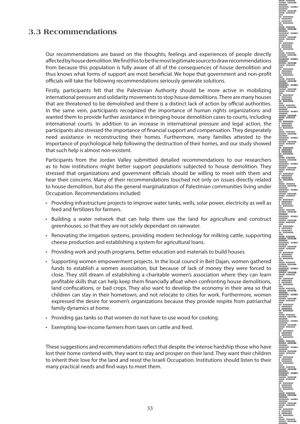### **3.3 Recommendations**

Our recommendations are based on the thoughts, feelings and experiences of people directly affected by house demolition. We find this to be the most legitimate source to draw recommendations from because this population is fully aware of all of the consequences of house demolition and thus knows what forms of support are most beneficial. We hope that government and non-profit officials will take the following recommendations seriously generate solutions.

Firstly, participants felt that the Palestinian Authority should be more active in mobilizing international pressure and solidarity movements to stop house demolitions. There are many houses that are threatened to be demolished and there is a distinct lack of action by official authorities. In the same vein, participants recognized the importance of human rights organizations and wanted them to provide further assistance in bringing house demolition cases to courts, including international courts. In addition to an increase in international pressure and legal action, the participants also stressed the importance of financial support and compensation. They desperately need assistance in reconstructing their homes. Furthermore, many families attested to the importance of psychological help following the destruction of their homes, and our study showed that such help is almost non-existent.

Participants from the Jordan Valley submitted detailed recommendations to our researchers as to how institutions might better support populations subjected to house demolition. They stressed that organizations and government officials should be willing to meet with them and hear their concerns. Many of their recommendations touched not only on issues directly related to house demolition, but also the general marginalization of Palestinian communities living under Occupation. Recommendations included:

- • Providing infrastructure projects to improve water tanks, wells, solar power, electricity as well as feed and fertilizers for farmers.
- • Building a water network that can help them use the land for agriculture and construct greenhouses, so that they are not solely dependant on rainwater.
- • Renovating the irrigation systems, providing modern technology for milking cattle, supporting cheese production and establishing a system for agricultural loans.
- Providing work and youth programs, better education and materials to build houses.
- • Supporting women empowerment projects. In the local council in Beit Dajan, women gathered funds to establish a women association, but because of lack of money they were forced to close. They still dream of establishing a charitable women's association where they can learn profitable skills that can help keep them financially afloat when confronting house demolitions, land confiscations, or bad crops. They also want to develop the economy in their area so that children can stay in their hometown, and not relocate to cities for work. Furthermore, women expressed the desire for women's organizations because they provide respite from patriarchal family dynamics at home.
- Providing gas tanks so that women do not have to use wood for cooking.
- Exempting low-income farmers from taxes on cattle and feed.

These suggestions and recommendations reflect that despite the intense hardship those who have lost their home contend with, they want to stay and prosper on their land. They want their children to inherit their love for the land and resist the Israeli Occupation. Institutions should listen to their many practical needs and find ways to meet them.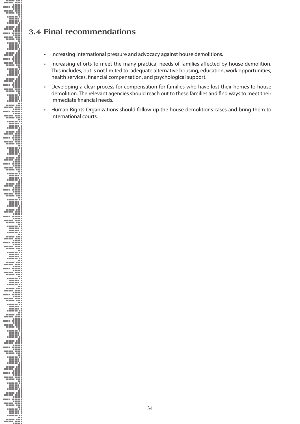## **3.4 Final recommendations**

- Increasing international pressure and advocacy against house demolitions.
- Increasing efforts to meet the many practical needs of families affected by house demolition. This includes, but is not limited to: adequate alternative housing, education, work opportunities, health services, financial compensation, and psychological support.
- Developing a clear process for compensation for families who have lost their homes to house demolition. The relevant agencies should reach out to these families and find ways to meet their immediate financial needs.
- • Human Rights Organizations should follow up the house demolitions cases and bring them to international courts.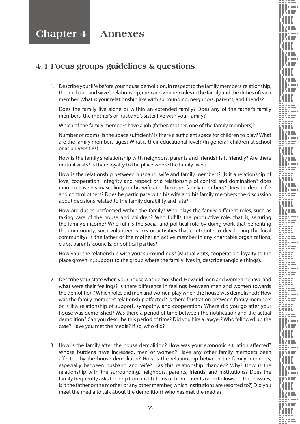### **4.1 Focus groups guidelines & questions**

1. Describe your life before your house demolition, in respect to the family members' relationship, the husband and wive's relationship, men and women roles in the family and the duties of each member. What is your relationship like with surrounding, neighbors, parents, and friends?

Does the family live alone or within an extended family? Does any of the father's family members, the mother's or husband's sister live with your family?

Which of the family members have a job (father, mother, one of the family members)?

Number of rooms: Is the space sufficient? Is there a sufficient space for children to play? What are the family members' ages? What is their educational level? (In general, children at school or at universities).

How is the family's relationship with neighbors, parents and friends? Is it friendly? Are there mutual visits? Is there loyalty to the place where the family lives?

How is the relationship between husband, wife and family members? (Is it a relationship of love, cooperation, integrity and respect or a relationship of control and domination? does man exercise his masculinity on his wife and the other family members? Does he decide for and control others? Does he participate with his wife and his family members the discussion about decisions related to the family durability and fate?

How are duties performed within the family? Who plays the family different roles, such as taking care of the house and children? Who fulfills the productive role, that is, securing the family's income? Who fulfills the social and political role by doing work that benefiting the community, such volunteer works or activities that contribute to developing the local community? Is the father or the mother an active member in any charitable organizations, clubs, parents' councils, or political parties?

How your the relationship with your surroundings? (Mutual visits, cooperation, loyalty to the place grown in, support to the group where the family lives in, describe tangible things).

- 2. Describe your state when your house was demolished. How did men and women behave and what were their feelings? Is there difference in feelings between men and women towards the demolition? Which roles did men and women play when the house was demolished? How was the family members' relationship affected? Is there frustration between family members or is it a relationship of support, sympathy, and cooperation? Where did you go after your house was demolished? Was there a period of time between the notification and the actual demolition? Can you describe this period of time? Did you hire a lawyer? Who followed up the case? Have you met the media? If so, who did?
- 3. How is the family after the house demolition? How was your economic situation affected? Whose burdens have increased, men or women? Have any other family members been affected by the house demolition? How is the relationship between the family members, especially between husband and wife? Has this relationship changed? Why? How is the relationship with the surrounding, neighbors, parents, friends, and institutions? Does the family frequently asks for help from institutions or from parents (who follows up these issues, is it the father or the mother or any other member, which institutions are resorted to?) Did you meet the media to talk about the demolition? Who has met the media?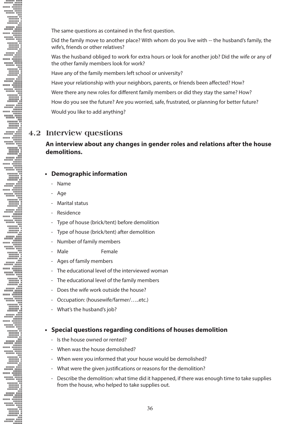The same questions as contained in the first question.

Did the family move to another place? With whom do you live with -- the husband's family, the wife's, friends or other relatives?

Was the husband obliged to work for extra hours or look for another job? Did the wife or any of the other family members look for work?

Have any of the family members left school or university?

Have your relationship with your neighbors, parents, or friends been affected? How?

Were there any new roles for different family members or did they stay the same? How?

How do you see the future? Are you worried, safe, frustrated, or planning for better future?

Would you like to add anything?

### **4.2 Interview questions**

#### **An interview about any changes in gender roles and relations after the house demolitions.**

#### **• Demographic information**

- Name
- Age
- Marital status
- Residence
- Type of house (brick/tent) before demolition
- Type of house (brick/tent) after demolition
- Number of family members
- Male **Female**
- Ages of family members
- The educational level of the interviewed woman
- The educational level of the family members
- Does the wife work outside the house?
- Occupation: (housewife/farmer/…..etc.)
- What's the husband's job?

#### **• Special questions regarding conditions of houses demolition**

- Is the house owned or rented?
- When was the house demolished?
- When were you informed that your house would be demolished?
- What were the given justifications or reasons for the demolition?
- Describe the demolition: what time did it happened, if there was enough time to take supplies from the house, who helped to take supplies out.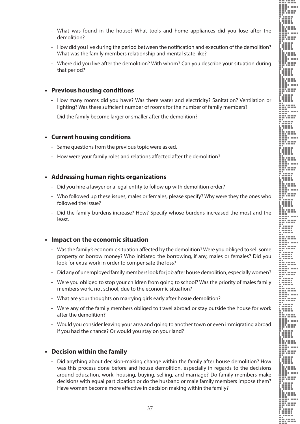- 
- What was found in the house? What tools and home appliances did you lose after the demolition?
- How did you live during the period between the notification and execution of the demolition? What was the family members relationship and mental state like?
- Where did you live after the demolition? With whom? Can you describe your situation during that period?

#### **• Previous housing conditions**

- How many rooms did you have? Was there water and electricity? Sanitation? Ventilation or lighting? Was there sufficient number of rooms for the number of family members?
- Did the family become larger or smaller after the demolition?

#### **• Current housing conditions**

- Same questions from the previous topic were asked.
- How were your family roles and relations affected after the demolition?

#### **• Addressing human rights organizations**

- Did you hire a lawyer or a legal entity to follow up with demolition order?
- Who followed up these issues, males or females, please specify? Why were they the ones who followed the issue?
- Did the family burdens increase? How? Specify whose burdens increased the most and the least.

#### **• Impact on the economic situation**

- Was the family's economic situation affected by the demolition? Were you obliged to sell some property or borrow money? Who initiated the borrowing, if any, males or females? Did you look for extra work in order to compensate the loss?
- Did any of unemployed family members look for job after house demolition, especially women?
- Were you obliged to stop your children from going to school? Was the priority of males family members work, not school, due to the economic situation?
- What are your thoughts on marrying girls early after hosue demolition?
- Were any of the family members obliged to travel abroad or stay outside the house for work after the demolition?
- Would you consider leaving your area and going to another town or even immigrating abroad if you had the chance? Or would you stay on your land?

#### **• Decision within the family**

- Did anything about decision-making change within the family after house demolition? How was this process done before and house demolition, especially in regards to the decisions around education, work, housing, buying, selling, and marriage? Do family members make decisions with equal participation or do the husband or male family members impose them? Have women become more effective in decision making within the family?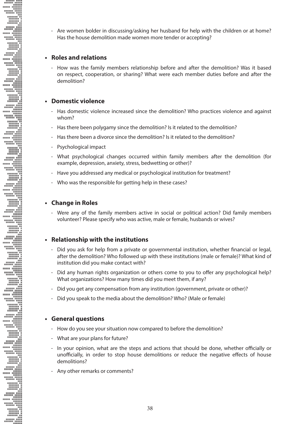- Are women bolder in discussing/asking her husband for help with the children or at home? Has the house demolition made women more tender or accepting?

#### **• Roles and relations**

- How was the family members relationship before and after the demolition? Was it based on respect, cooperation, or sharing? What were each member duties before and after the demolition?

#### **• Domestic violence**

- Has domestic violence increased since the demolition? Who practices violence and against whom?
- Has there been polygamy since the demolition? Is it related to the demolition?
- Has there been a divorce since the demolition? Is it related to the demolition?
- Psychological impact
- What psychological changes occurred within family members after the demolition (for example, depression, anxiety, stress, bedwetting or other)?
- Have you addressed any medical or psychological institution for treatment?
- Who was the responsible for getting help in these cases?

#### **• Change in Roles**

**Example 2000 And the Contract of the Contract of the Contract of the Contract of the Contract of the Contract of the Contract of the Contract of the Contract of the Contract of the Contract of the Contract of the Contract** 

- Were any of the family members active in social or political action? Did family members volunteer? Please specify who was active, male or female, husbands or wives?

#### **• Relationship with the institutions**

- Did you ask for help from a private or governmental institution, whether financial or legal, after the demolition? Who followed up with these institutions (male or female)? What kind of institution did you make contact with?
- Did any human rights organization or others come to you to offer any psychological help? What organizations? How many times did you meet them, if any?
- Did you get any compensation from any institution (government, private or other)?
- Did you speak to the media about the demolition? Who? (Male or female)

#### **• General questions**

- How do you see your situation now compared to before the demolition?
- What are your plans for future?
- In your opinion, what are the steps and actions that should be done, whether officially or unofficially, in order to stop house demolitions or reduce the negative effects of house demolitions?
- Any other remarks or comments?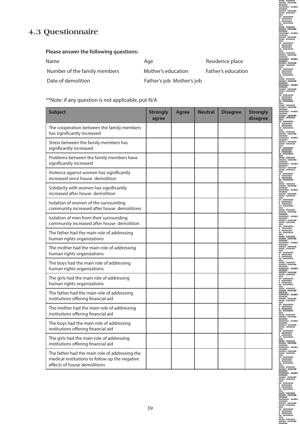## **4.3 Questionnaire**

#### **Please answer the following questions:**

| <b>Name</b>                  | Age                       | Residence place    |
|------------------------------|---------------------------|--------------------|
| Number of the family members | Mother's education        | Father's education |
| Date of demolition           | Father's job Mother's job |                    |

### \*\*Note: if any question is not applicable, put N/A

| <b>Subject</b>                                                                                                                   | <b>Strongly</b><br>agree | <b>Agree</b> | <b>Neutral</b> | <b>Disagree</b> | <b>Strongly</b><br>disagree |
|----------------------------------------------------------------------------------------------------------------------------------|--------------------------|--------------|----------------|-----------------|-----------------------------|
| The cooperation between the family members<br>has significantly increased                                                        |                          |              |                |                 |                             |
| Stress between the family members has<br>significantly increased                                                                 |                          |              |                |                 |                             |
| Problems between the family members have<br>significantly increased                                                              |                          |              |                |                 |                             |
| Violence against women has significantly<br>increased since house demolition                                                     |                          |              |                |                 |                             |
| Solidarity with women has significantly<br>increased after house demolition                                                      |                          |              |                |                 |                             |
| Isolation of women of the surrounding<br>community increased after house demolitions                                             |                          |              |                |                 |                             |
| Isolation of men from their surrounding<br>community increased after house demolition                                            |                          |              |                |                 |                             |
| The father had the main role of addressing<br>human rights organizations                                                         |                          |              |                |                 |                             |
| The mother had the main role of addressing<br>human rights organizations                                                         |                          |              |                |                 |                             |
| The boys had the main role of addressing<br>human rights organizations                                                           |                          |              |                |                 |                             |
| The girls had the main role of addressing<br>human rights organizations                                                          |                          |              |                |                 |                             |
| The father had the main role of addressing<br>institutions offering financial aid                                                |                          |              |                |                 |                             |
| The mother had the main role of addressing<br>institutions offering financial aid                                                |                          |              |                |                 |                             |
| The boys had the main role of addressing<br>institutions offering financial aid                                                  |                          |              |                |                 |                             |
| The girls had the main role of addressing<br>institutions offering financial aid                                                 |                          |              |                |                 |                             |
| The father had the main role of addressing the<br>medical institutions to follow up the negative<br>effects of house demolitions |                          |              |                |                 |                             |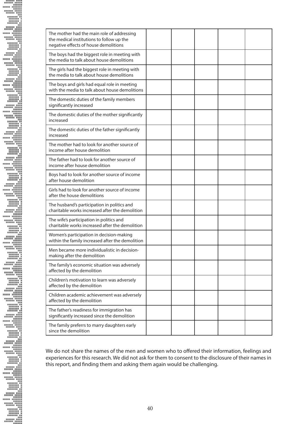| The mother had the main role of addressing<br>the medical institutions to follow up the<br>negative effects of house demolitions |  |  |  |
|----------------------------------------------------------------------------------------------------------------------------------|--|--|--|
| The boys had the biggest role in meeting with<br>the media to talk about house demolitions                                       |  |  |  |
| The girls had the biggest role in meeting with<br>the media to talk about house demolitions                                      |  |  |  |
| The boys and girls had equal role in meeting<br>with the media to talk about house demolitions                                   |  |  |  |
| The domestic duties of the family members<br>significantly increased                                                             |  |  |  |
| The domestic duties of the mother significantly<br>increased                                                                     |  |  |  |
| The domestic duties of the father significantly<br>increased                                                                     |  |  |  |
| The mother had to look for another source of<br>income after house demolition                                                    |  |  |  |
| The father had to look for another source of<br>income after house demolition                                                    |  |  |  |
| Boys had to look for another source of income<br>after house demolition                                                          |  |  |  |
| Girls had to look for another source of income<br>after the house demolitions                                                    |  |  |  |
| The husband's participation in politics and<br>charitable works increased after the demolition                                   |  |  |  |
| The wife's participation in politics and<br>charitable works increased after the demolition                                      |  |  |  |
| Women's participation in decision-making<br>within the family increased after the demolition                                     |  |  |  |
| Men became more individualistic in decision-<br>making after the demolition                                                      |  |  |  |
| The family's economic situation was adversely<br>affected by the demolition                                                      |  |  |  |
| Children's motivation to learn was adversely<br>affected by the demolition                                                       |  |  |  |
| Children academic achievement was adversely<br>affected by the demolition                                                        |  |  |  |
| The father's readiness for immigration has<br>significantly increased since the demolition                                       |  |  |  |
| The family preferrs to marry daughters early<br>since the demolition                                                             |  |  |  |

We do not share the names of the men and women who to offered their information, feelings and experiences for this research. We did not ask for them to consent to the disclosure of their names in this report, and finding them and asking them again would be challenging.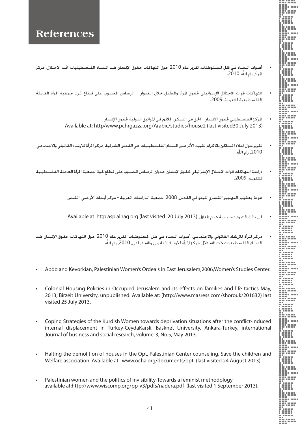- أصوات النساء في ظل المستوطنات. تقرير عام 2010 حول انتهاكات حقوق الإنسان ضد النساء الفلسطينيات حت الاحتلال. مركز المرأة، رام الله 2010.
- انتهاكات قوات الاحتلال الإسرائيلي لحقوق المرأة والطفل خلال العدوان الرصاص المصبوب على قطاع غزة. جمعية المرأة العاملة الفلسطينية للتنمية، .2009
	- الركز الفلسطيني لحقوق الانسان الحق في السكن الملائم في المواثيق الدولية لحقوق الإنسان Available at: http/www.pchrgazza.org/Arabic/studies/house2 (last visited30 July 2013)
- تقرير حول اخلاء الساكن بالاكراه. تقييم الأثر على النساء الفلسطينيات في القدس الشرقية ،مركز الرأة للارشاد القانوني والاجتماعي. ،2010 رام اهلل.
- دراسة انتهاكات قوات الاحتلال الإسرائيلي حقوق الإنسان. عدوان الرصاص المبوب على قطاع غوة. جمعية المرأة العاملة الفلسطينية للتنمية، .2009
	- عودة، يعقوب التهجير القسري للبدو في القدس 2008. جمعية الدراسات العربية مركز أبحاث الأراضي القدس
	- في دائرة الضوء سياسة هدم المنازل Available at: http.asp.alhaq.org (last visited: 20 July 2013)
- مركز الرأة للإرشاد القانوني والاجتماعي. أصوات النساء في ظل المستوطنات. تقرير عام 2010 حول انتهاكات حقوق الإنسان ضد النساء الفلسطينيات حت الاحتلال مركز الرأة للارشاد القانوني والاجتماعي. 2010. رام الله.
- Abdo and Kevorkian, Palestinian Women's Ordeals in East Jerusalem, 2006, Women's Studies Center.
- Colonial Housing Policies in Occupied Jerusalem and its effects on families and life tactics May, 2013, Birzeit University, unpublished. Available at: (http://www.masress.com/shorouk/201632) last visited 25 July 2013.
- Coping Strategies of the Kurdish Women towards deprivation situations after the conflict-induced internal displacement in Turkey-CeydaKarsli, Basknet University, Ankara-Turkey, international Journal of business and social research, volume-3, No.5, May 2013.
- Halting the demolition of houses in the Opt, Palestinian Center counseling, Save the children and Welfare association. Available at: www.ocha.org/documents/opt (last visited 24 August 2013)
- Palestinian women and the politics of invisibility-Towards a feminist methodology, available at:http://www.wiscomp.org/pp-v3/pdfs/nadera.pdf (last visited 1 September 2013).